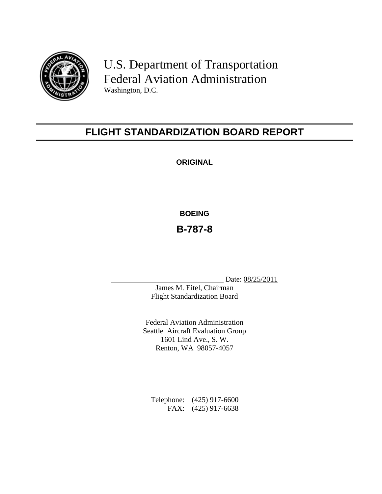

U.S. Department of Transportation Federal Aviation Administration Washington, D.C.

# **FLIGHT STANDARDIZATION BOARD REPORT**

**ORIGINAL** 

**BOEING**

**B-787-8** 

Date: 08/25/2011

James M. Eitel, Chairman Flight Standardization Board

Federal Aviation Administration Seattle Aircraft Evaluation Group 1601 Lind Ave., S. W. Renton, WA 98057-4057

Telephone: (425) 917-6600 FAX: (425) 917-6638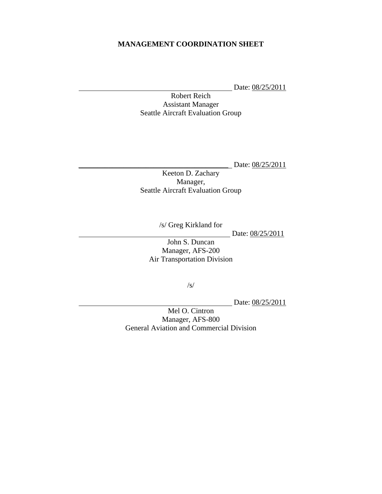#### **MANAGEMENT COORDINATION SHEET**

Date:  $08/25/2011$ 

Robert Reich Assistant Manager Seattle Aircraft Evaluation Group

\_\_\_\_\_\_\_\_\_\_\_\_\_\_\_\_\_\_\_\_\_\_\_\_\_\_\_\_\_\_\_\_\_\_\_\_\_\_\_\_ Date: 08/25/2011

Keeton D. Zachary Manager, Seattle Aircraft Evaluation Group

/s/ Greg Kirkland for

Date: 08/25/2011

John S. Duncan Manager, AFS-200 Air Transportation Division

/s/

Date: 08/25/2011

Mel O. Cintron Manager, AFS-800 General Aviation and Commercial Division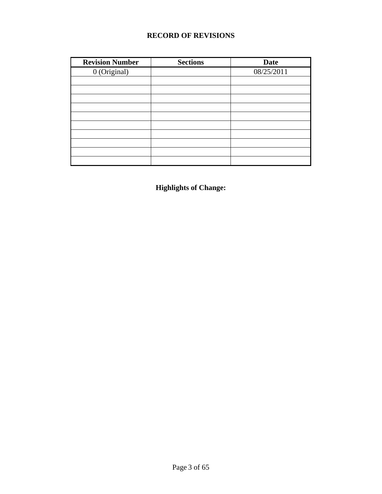#### **RECORD OF REVISIONS**

| <b>Revision Number</b> | <b>Sections</b> | <b>Date</b> |
|------------------------|-----------------|-------------|
| 0 (Original)           |                 | 08/25/2011  |
|                        |                 |             |
|                        |                 |             |
|                        |                 |             |
|                        |                 |             |
|                        |                 |             |
|                        |                 |             |
|                        |                 |             |
|                        |                 |             |
|                        |                 |             |
|                        |                 |             |

**Highlights of Change:**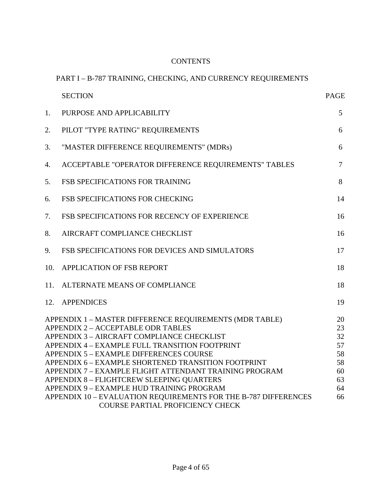#### **CONTENTS**

# PART I – B-787 TRAINING, CHECKING, AND CURRENCY REQUIREMENTS

|     | <b>SECTION</b>                                                                                                                                                                                                                                                                                                                                                                                                                                                                                                         | <b>PAGE</b>                                              |
|-----|------------------------------------------------------------------------------------------------------------------------------------------------------------------------------------------------------------------------------------------------------------------------------------------------------------------------------------------------------------------------------------------------------------------------------------------------------------------------------------------------------------------------|----------------------------------------------------------|
| 1.  | PURPOSE AND APPLICABILITY                                                                                                                                                                                                                                                                                                                                                                                                                                                                                              | 5                                                        |
| 2.  | PILOT "TYPE RATING" REQUIREMENTS                                                                                                                                                                                                                                                                                                                                                                                                                                                                                       | 6                                                        |
| 3.  | "MASTER DIFFERENCE REQUIREMENTS" (MDRs)                                                                                                                                                                                                                                                                                                                                                                                                                                                                                | 6                                                        |
| 4.  | ACCEPTABLE "OPERATOR DIFFERENCE REQUIREMENTS" TABLES                                                                                                                                                                                                                                                                                                                                                                                                                                                                   | $\tau$                                                   |
| 5.  | FSB SPECIFICATIONS FOR TRAINING                                                                                                                                                                                                                                                                                                                                                                                                                                                                                        | 8                                                        |
| 6.  | <b>FSB SPECIFICATIONS FOR CHECKING</b>                                                                                                                                                                                                                                                                                                                                                                                                                                                                                 | 14                                                       |
| 7.  | FSB SPECIFICATIONS FOR RECENCY OF EXPERIENCE                                                                                                                                                                                                                                                                                                                                                                                                                                                                           | 16                                                       |
| 8.  | AIRCRAFT COMPLIANCE CHECKLIST                                                                                                                                                                                                                                                                                                                                                                                                                                                                                          | 16                                                       |
| 9.  | FSB SPECIFICATIONS FOR DEVICES AND SIMULATORS                                                                                                                                                                                                                                                                                                                                                                                                                                                                          | 17                                                       |
| 10. | APPLICATION OF FSB REPORT                                                                                                                                                                                                                                                                                                                                                                                                                                                                                              | 18                                                       |
| 11. | ALTERNATE MEANS OF COMPLIANCE                                                                                                                                                                                                                                                                                                                                                                                                                                                                                          | 18                                                       |
|     | 12. APPENDICES                                                                                                                                                                                                                                                                                                                                                                                                                                                                                                         | 19                                                       |
|     | APPENDIX 1 - MASTER DIFFERENCE REQUIREMENTS (MDR TABLE)<br>APPENDIX 2 - ACCEPTABLE ODR TABLES<br>APPENDIX 3 - AIRCRAFT COMPLIANCE CHECKLIST<br>APPENDIX 4 - EXAMPLE FULL TRANSITION FOOTPRINT<br>APPENDIX 5 - EXAMPLE DIFFERENCES COURSE<br>APPENDIX 6 - EXAMPLE SHORTENED TRANSITION FOOTPRINT<br>APPENDIX 7 - EXAMPLE FLIGHT ATTENDANT TRAINING PROGRAM<br>APPENDIX 8 - FLIGHTCREW SLEEPING QUARTERS<br>APPENDIX 9 - EXAMPLE HUD TRAINING PROGRAM<br>APPENDIX 10 - EVALUATION REQUIREMENTS FOR THE B-787 DIFFERENCES | 20<br>23<br>32<br>57<br>58<br>58<br>60<br>63<br>64<br>66 |
|     | <b>COURSE PARTIAL PROFICIENCY CHECK</b>                                                                                                                                                                                                                                                                                                                                                                                                                                                                                |                                                          |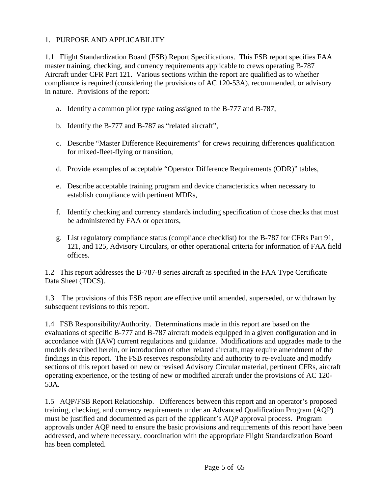#### 1. PURPOSE AND APPLICABILITY

1.1 Flight Standardization Board (FSB) Report Specifications. This FSB report specifies FAA master training, checking, and currency requirements applicable to crews operating B-787 Aircraft under CFR Part 121. Various sections within the report are qualified as to whether compliance is required (considering the provisions of AC 120-53A), recommended, or advisory in nature. Provisions of the report:

- a. Identify a common pilot type rating assigned to the B-777 and B-787,
- b. Identify the B-777 and B-787 as "related aircraft",
- c. Describe "Master Difference Requirements" for crews requiring differences qualification for mixed-fleet-flying or transition,
- d. Provide examples of acceptable "Operator Difference Requirements (ODR)" tables,
- e. Describe acceptable training program and device characteristics when necessary to establish compliance with pertinent MDRs,
- f. Identify checking and currency standards including specification of those checks that must be administered by FAA or operators,
- g. List regulatory compliance status (compliance checklist) for the B-787 for CFRs Part 91, 121, and 125, Advisory Circulars, or other operational criteria for information of FAA field offices.

1.2 This report addresses the B-787-8 series aircraft as specified in the FAA Type Certificate Data Sheet (TDCS).

1.3 The provisions of this FSB report are effective until amended, superseded, or withdrawn by subsequent revisions to this report.

1.4 FSB Responsibility/Authority. Determinations made in this report are based on the evaluations of specific B-777 and B-787 aircraft models equipped in a given configuration and in accordance with (IAW) current regulations and guidance. Modifications and upgrades made to the models described herein, or introduction of other related aircraft, may require amendment of the findings in this report. The FSB reserves responsibility and authority to re-evaluate and modify sections of this report based on new or revised Advisory Circular material, pertinent CFRs, aircraft operating experience, or the testing of new or modified aircraft under the provisions of AC 120- 53A.

1.5 AQP/FSB Report Relationship. Differences between this report and an operator's proposed training, checking, and currency requirements under an Advanced Qualification Program (AQP) must be justified and documented as part of the applicant's AQP approval process. Program approvals under AQP need to ensure the basic provisions and requirements of this report have been addressed, and where necessary, coordination with the appropriate Flight Standardization Board has been completed.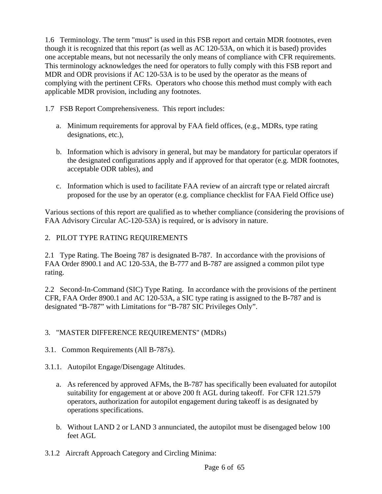1.6 Terminology. The term "must" is used in this FSB report and certain MDR footnotes, even though it is recognized that this report (as well as AC 120-53A, on which it is based) provides one acceptable means, but not necessarily the only means of compliance with CFR requirements. This terminology acknowledges the need for operators to fully comply with this FSB report and MDR and ODR provisions if AC 120-53A is to be used by the operator as the means of complying with the pertinent CFRs. Operators who choose this method must comply with each applicable MDR provision, including any footnotes.

1.7 FSB Report Comprehensiveness. This report includes:

- a. Minimum requirements for approval by FAA field offices, (e.g., MDRs, type rating designations, etc.),
- b. Information which is advisory in general, but may be mandatory for particular operators if the designated configurations apply and if approved for that operator (e.g. MDR footnotes, acceptable ODR tables), and
- c. Information which is used to facilitate FAA review of an aircraft type or related aircraft proposed for the use by an operator (e.g. compliance checklist for FAA Field Office use)

Various sections of this report are qualified as to whether compliance (considering the provisions of FAA Advisory Circular AC-120-53A) is required, or is advisory in nature.

## 2. PILOT TYPE RATING REQUIREMENTS

2.1 Type Rating. The Boeing 787 is designated B-787. In accordance with the provisions of FAA Order 8900.1 and AC 120-53A, the B-777 and B-787 are assigned a common pilot type rating.

2.2 Second-In-Command (SIC) Type Rating. In accordance with the provisions of the pertinent CFR, FAA Order 8900.1 and AC 120-53A, a SIC type rating is assigned to the B-787 and is designated "B-787" with Limitations for "B-787 SIC Privileges Only".

#### 3. "MASTER DIFFERENCE REQUIREMENTS" (MDRs)

3.1. Common Requirements (All B-787s).

#### 3.1.1. Autopilot Engage/Disengage Altitudes.

- a. As referenced by approved AFMs, the B-787 has specifically been evaluated for autopilot suitability for engagement at or above 200 ft AGL during takeoff. For CFR 121.579 operators, authorization for autopilot engagement during takeoff is as designated by operations specifications.
- b. Without LAND 2 or LAND 3 annunciated, the autopilot must be disengaged below 100 feet AGL
- 3.1.2 Aircraft Approach Category and Circling Minima: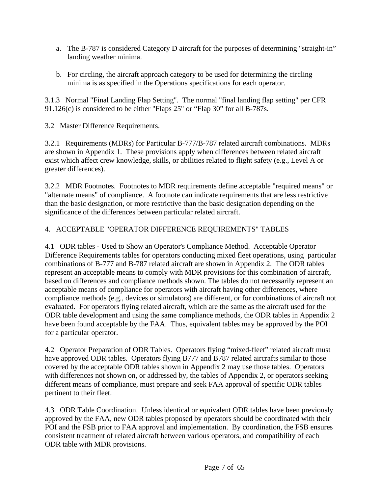- a. The B-787 is considered Category D aircraft for the purposes of determining "straight-in" landing weather minima.
- b. For circling, the aircraft approach category to be used for determining the circling minima is as specified in the Operations specifications for each operator.

3.1.3 Normal "Final Landing Flap Setting". The normal "final landing flap setting" per CFR 91.126(c) is considered to be either "Flaps 25" or "Flap 30" for all B-787s.

3.2 Master Difference Requirements.

3.2.1 Requirements (MDRs) for Particular B-777/B-787 related aircraft combinations. MDRs are shown in Appendix 1. These provisions apply when differences between related aircraft exist which affect crew knowledge, skills, or abilities related to flight safety (e.g., Level A or greater differences).

3.2.2 MDR Footnotes. Footnotes to MDR requirements define acceptable "required means" or "alternate means" of compliance. A footnote can indicate requirements that are less restrictive than the basic designation, or more restrictive than the basic designation depending on the significance of the differences between particular related aircraft.

#### 4. ACCEPTABLE "OPERATOR DIFFERENCE REQUIREMENTS" TABLES

4.1 ODR tables - Used to Show an Operator's Compliance Method. Acceptable Operator Difference Requirements tables for operators conducting mixed fleet operations, using particular combinations of B-777 and B-787 related aircraft are shown in Appendix 2. The ODR tables represent an acceptable means to comply with MDR provisions for this combination of aircraft, based on differences and compliance methods shown. The tables do not necessarily represent an acceptable means of compliance for operators with aircraft having other differences, where compliance methods (e.g., devices or simulators) are different, or for combinations of aircraft not evaluated. For operators flying related aircraft, which are the same as the aircraft used for the ODR table development and using the same compliance methods, the ODR tables in Appendix 2 have been found acceptable by the FAA. Thus, equivalent tables may be approved by the POI for a particular operator.

4.2 Operator Preparation of ODR Tables. Operators flying "mixed-fleet" related aircraft must have approved ODR tables. Operators flying B777 and B787 related aircrafts similar to those covered by the acceptable ODR tables shown in Appendix 2 may use those tables. Operators with differences not shown on, or addressed by, the tables of Appendix 2, or operators seeking different means of compliance, must prepare and seek FAA approval of specific ODR tables pertinent to their fleet.

4.3 ODR Table Coordination. Unless identical or equivalent ODR tables have been previously approved by the FAA, new ODR tables proposed by operators should be coordinated with their POI and the FSB prior to FAA approval and implementation. By coordination, the FSB ensures consistent treatment of related aircraft between various operators, and compatibility of each ODR table with MDR provisions.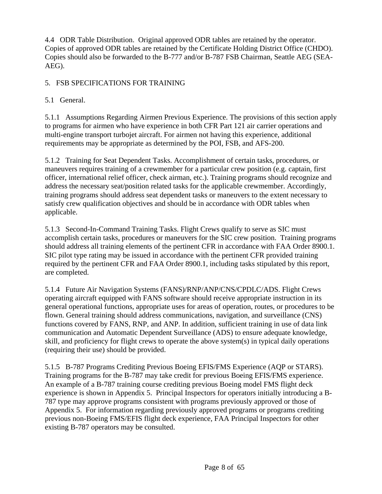4.4 ODR Table Distribution. Original approved ODR tables are retained by the operator. Copies of approved ODR tables are retained by the Certificate Holding District Office (CHDO). Copies should also be forwarded to the B-777 and/or B-787 FSB Chairman, Seattle AEG (SEA-AEG).

## 5. FSB SPECIFICATIONS FOR TRAINING

# 5.1 General.

5.1.1 Assumptions Regarding Airmen Previous Experience. The provisions of this section apply to programs for airmen who have experience in both CFR Part 121 air carrier operations and multi-engine transport turbojet aircraft. For airmen not having this experience, additional requirements may be appropriate as determined by the POI, FSB, and AFS-200.

5.1.2 Training for Seat Dependent Tasks. Accomplishment of certain tasks, procedures, or maneuvers requires training of a crewmember for a particular crew position (e.g. captain, first officer, international relief officer, check airman, etc.). Training programs should recognize and address the necessary seat/position related tasks for the applicable crewmember. Accordingly, training programs should address seat dependent tasks or maneuvers to the extent necessary to satisfy crew qualification objectives and should be in accordance with ODR tables when applicable.

5.1.3 Second-In-Command Training Tasks. Flight Crews qualify to serve as SIC must accomplish certain tasks, procedures or maneuvers for the SIC crew position. Training programs should address all training elements of the pertinent CFR in accordance with FAA Order 8900.1. SIC pilot type rating may be issued in accordance with the pertinent CFR provided training required by the pertinent CFR and FAA Order 8900.1, including tasks stipulated by this report, are completed.

5.1.4 Future Air Navigation Systems (FANS)/RNP/ANP/CNS/CPDLC/ADS. Flight Crews operating aircraft equipped with FANS software should receive appropriate instruction in its general operational functions, appropriate uses for areas of operation, routes, or procedures to be flown. General training should address communications, navigation, and surveillance (CNS) functions covered by FANS, RNP, and ANP. In addition, sufficient training in use of data link communication and Automatic Dependent Surveillance (ADS) to ensure adequate knowledge, skill, and proficiency for flight crews to operate the above system(s) in typical daily operations (requiring their use) should be provided.

5.1.5 B-787 Programs Crediting Previous Boeing EFIS/FMS Experience (AQP or STARS). Training programs for the B-787 may take credit for previous Boeing EFIS/FMS experience. An example of a B-787 training course crediting previous Boeing model FMS flight deck experience is shown in Appendix 5. Principal Inspectors for operators initially introducing a B-787 type may approve programs consistent with programs previously approved or those of Appendix 5. For information regarding previously approved programs or programs crediting previous non-Boeing FMS/EFIS flight deck experience, FAA Principal Inspectors for other existing B-787 operators may be consulted.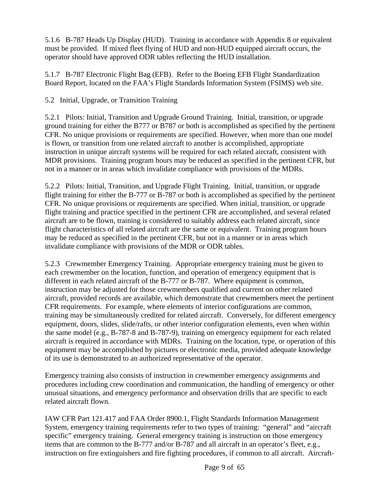5.1.6 B-787 Heads Up Display (HUD). Training in accordance with Appendix 8 or equivalent must be provided. If mixed fleet flying of HUD and non-HUD equipped aircraft occurs, the operator should have approved ODR tables reflecting the HUD installation.

5.1.7 B-787 Electronic Flight Bag (EFB). Refer to the Boeing EFB Flight Standardization Board Report, located on the FAA's Flight Standards Information System (FSIMS) web site.

5.2 Initial, Upgrade, or Transition Training

5.2.1 Pilots: Initial, Transition and Upgrade Ground Training. Initial, transition, or upgrade ground training for either the B777 or B787 or both is accomplished as specified by the pertinent CFR. No unique provisions or requirements are specified. However, when more than one model is flown, or transition from one related aircraft to another is accomplished, appropriate instruction in unique aircraft systems will be required for each related aircraft, consistent with MDR provisions. Training program hours may be reduced as specified in the pertinent CFR, but not in a manner or in areas which invalidate compliance with provisions of the MDRs.

5.2.2 Pilots: Initial, Transition, and Upgrade Flight Training. Initial, transition, or upgrade flight training for either the B-777 or B-787 or both is accomplished as specified by the pertinent CFR. No unique provisions or requirements are specified. When initial, transition, or upgrade flight training and practice specified in the pertinent CFR are accomplished, and several related aircraft are to be flown, training is considered to suitably address each related aircraft, since flight characteristics of all related aircraft are the same or equivalent. Training program hours may be reduced as specified in the pertinent CFR, but not in a manner or in areas which invalidate compliance with provisions of the MDR or ODR tables.

5.2.3 Crewmember Emergency Training. Appropriate emergency training must be given to each crewmember on the location, function, and operation of emergency equipment that is different in each related aircraft of the B-777 or B-787. Where equipment is common, instruction may be adjusted for those crewmembers qualified and current on other related aircraft, provided records are available, which demonstrate that crewmembers meet the pertinent CFR requirements. For example, where elements of interior configurations are common, training may be simultaneously credited for related aircraft. Conversely, for different emergency equipment, doors, slides, slide/rafts, or other interior configuration elements, even when within the same model (e.g., B-787-8 and B-787-9), training on emergency equipment for each related aircraft is required in accordance with MDRs. Training on the location, type, or operation of this equipment may be accomplished by pictures or electronic media, provided adequate knowledge of its use is demonstrated to an authorized representative of the operator.

Emergency training also consists of instruction in crewmember emergency assignments and procedures including crew coordination and communication, the handling of emergency or other unusual situations, and emergency performance and observation drills that are specific to each related aircraft flown.

IAW CFR Part 121.417 and FAA Order 8900.1, Flight Standards Information Management System, emergency training requirements refer to two types of training: "general" and "aircraft specific" emergency training. General emergency training is instruction on those emergency items that are common to the B-777 and/or B-787 and all aircraft in an operator's fleet, e.g., instruction on fire extinguishers and fire fighting procedures, if common to all aircraft. Aircraft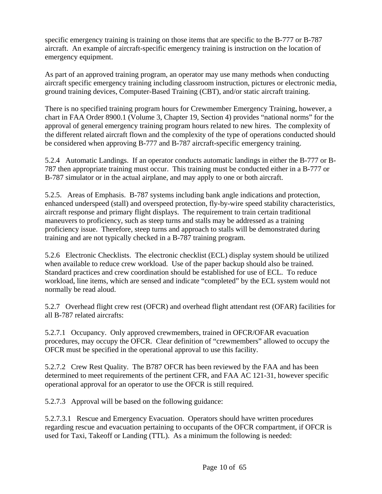specific emergency training is training on those items that are specific to the B-777 or B-787 aircraft. An example of aircraft-specific emergency training is instruction on the location of emergency equipment.

As part of an approved training program, an operator may use many methods when conducting aircraft specific emergency training including classroom instruction, pictures or electronic media, ground training devices, Computer-Based Training (CBT), and/or static aircraft training.

There is no specified training program hours for Crewmember Emergency Training, however, a chart in FAA Order 8900.1 (Volume 3, Chapter 19, Section 4) provides "national norms" for the approval of general emergency training program hours related to new hires. The complexity of the different related aircraft flown and the complexity of the type of operations conducted should be considered when approving B-777 and B-787 aircraft-specific emergency training.

5.2.4 Automatic Landings. If an operator conducts automatic landings in either the B-777 or B-787 then appropriate training must occur. This training must be conducted either in a B-777 or B-787 simulator or in the actual airplane, and may apply to one or both aircraft.

5.2.5. Areas of Emphasis. B-787 systems including bank angle indications and protection, enhanced underspeed (stall) and overspeed protection, fly-by-wire speed stability characteristics, aircraft response and primary flight displays. The requirement to train certain traditional maneuvers to proficiency, such as steep turns and stalls may be addressed as a training proficiency issue. Therefore, steep turns and approach to stalls will be demonstrated during training and are not typically checked in a B-787 training program.

5.2.6 Electronic Checklists. The electronic checklist (ECL) display system should be utilized when available to reduce crew workload. Use of the paper backup should also be trained. Standard practices and crew coordination should be established for use of ECL. To reduce workload, line items, which are sensed and indicate "completed" by the ECL system would not normally be read aloud.

5.2.7 Overhead flight crew rest (OFCR) and overhead flight attendant rest (OFAR) facilities for all B-787 related aircrafts:

5.2.7.1 Occupancy. Only approved crewmembers, trained in OFCR/OFAR evacuation procedures, may occupy the OFCR. Clear definition of "crewmembers" allowed to occupy the OFCR must be specified in the operational approval to use this facility.

5.2.7.2 Crew Rest Quality. The B787 OFCR has been reviewed by the FAA and has been determined to meet requirements of the pertinent CFR, and FAA AC 121-31, however specific operational approval for an operator to use the OFCR is still required.

5.2.7.3 Approval will be based on the following guidance:

5.2.7.3.1 Rescue and Emergency Evacuation. Operators should have written procedures regarding rescue and evacuation pertaining to occupants of the OFCR compartment, if OFCR is used for Taxi, Takeoff or Landing (TTL). As a minimum the following is needed: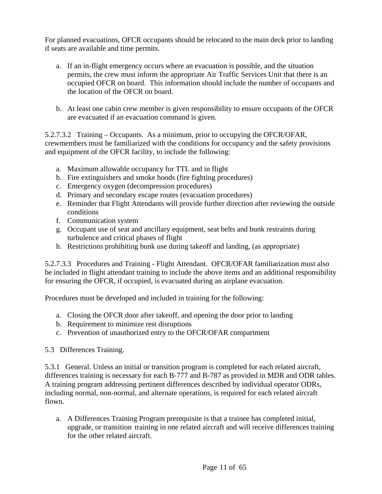For planned evacuations, OFCR occupants should be relocated to the main deck prior to landing if seats are available and time permits.

- a. If an in-flight emergency occurs where an evacuation is possible, and the situation permits, the crew must inform the appropriate Air Traffic Services Unit that there is an occupied OFCR on board. This information should include the number of occupants and the location of the OFCR on board.
- b. At least one cabin crew member is given responsibility to ensure occupants of the OFCR are evacuated if an evacuation command is given.

5.2.7.3.2 Training – Occupants. As a minimum, prior to occupying the OFCR/OFAR, crewmembers must be familiarized with the conditions for occupancy and the safety provisions and equipment of the OFCR facility, to include the following:

- a. Maximum allowable occupancy for TTL and in flight
- b. Fire extinguishers and smoke hoods (fire fighting procedures)
- c. Emergency oxygen (decompression procedures)
- d. Primary and secondary escape routes (evacuation procedures)
- e. Reminder that Flight Attendants will provide further direction after reviewing the outside conditions
- f. Communication system
- g. Occupant use of seat and ancillary equipment, seat belts and bunk restraints during turbulence and critical phases of flight
- h. Restrictions prohibiting bunk use during takeoff and landing, (as appropriate)

5.2.7.3.3 Procedures and Training - Flight Attendant. OFCR/OFAR familiarization must also be included in flight attendant training to include the above items and an additional responsibility for ensuring the OFCR, if occupied, is evacuated during an airplane evacuation.

Procedures must be developed and included in training for the following:

- a. Closing the OFCR door after takeoff, and opening the door prior to landing
- b. Requirement to minimize rest disruptions
- c. Prevention of unauthorized entry to the OFCR/OFAR compartment
- 5.3 Differences Training.

5.3.1 General. Unless an initial or transition program is completed for each related aircraft, differences training is necessary for each B-777 and B-787 as provided in MDR and ODR tables. A training program addressing pertinent differences described by individual operator ODRs, including normal, non-normal, and alternate operations, is required for each related aircraft flown.

a. A Differences Training Program prerequisite is that a trainee has completed initial, upgrade, or transition training in one related aircraft and will receive differences training for the other related aircraft.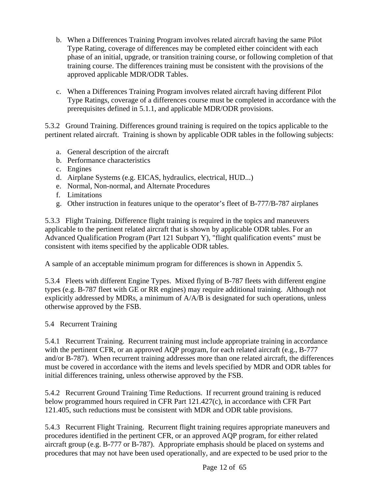- b. When a Differences Training Program involves related aircraft having the same Pilot Type Rating, coverage of differences may be completed either coincident with each phase of an initial, upgrade, or transition training course, or following completion of that training course. The differences training must be consistent with the provisions of the approved applicable MDR/ODR Tables.
- c. When a Differences Training Program involves related aircraft having different Pilot Type Ratings, coverage of a differences course must be completed in accordance with the prerequisites defined in 5.1.1, and applicable MDR/ODR provisions.

5.3.2 Ground Training. Differences ground training is required on the topics applicable to the pertinent related aircraft. Training is shown by applicable ODR tables in the following subjects:

- a. General description of the aircraft
- b. Performance characteristics
- c. Engines
- d. Airplane Systems (e.g. EICAS, hydraulics, electrical, HUD...)
- e. Normal, Non-normal, and Alternate Procedures
- f. Limitations
- g. Other instruction in features unique to the operator's fleet of B-777/B-787 airplanes

5.3.3 Flight Training. Difference flight training is required in the topics and maneuvers applicable to the pertinent related aircraft that is shown by applicable ODR tables. For an Advanced Qualification Program (Part 121 Subpart Y), "flight qualification events" must be consistent with items specified by the applicable ODR tables.

A sample of an acceptable minimum program for differences is shown in Appendix 5.

5.3.4 Fleets with different Engine Types. Mixed flying of B-787 fleets with different engine types (e.g. B-787 fleet with GE or RR engines) may require additional training. Although not explicitly addressed by MDRs, a minimum of A/A/B is designated for such operations, unless otherwise approved by the FSB.

#### 5.4 Recurrent Training

5.4.1 Recurrent Training. Recurrent training must include appropriate training in accordance with the pertinent CFR, or an approved AQP program, for each related aircraft (e.g., B-777 and/or B-787). When recurrent training addresses more than one related aircraft, the differences must be covered in accordance with the items and levels specified by MDR and ODR tables for initial differences training, unless otherwise approved by the FSB.

5.4.2 Recurrent Ground Training Time Reductions. If recurrent ground training is reduced below programmed hours required in CFR Part 121.427(c), in accordance with CFR Part 121.405, such reductions must be consistent with MDR and ODR table provisions.

5.4.3 Recurrent Flight Training. Recurrent flight training requires appropriate maneuvers and procedures identified in the pertinent CFR, or an approved AQP program, for either related aircraft group (e.g. B-777 or B-787). Appropriate emphasis should be placed on systems and procedures that may not have been used operationally, and are expected to be used prior to the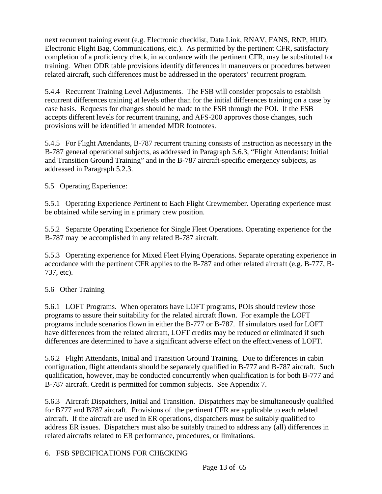next recurrent training event (e.g. Electronic checklist, Data Link, RNAV, FANS, RNP, HUD, Electronic Flight Bag, Communications, etc.). As permitted by the pertinent CFR, satisfactory completion of a proficiency check, in accordance with the pertinent CFR, may be substituted for training. When ODR table provisions identify differences in maneuvers or procedures between related aircraft, such differences must be addressed in the operators' recurrent program.

5.4.4 Recurrent Training Level Adjustments. The FSB will consider proposals to establish recurrent differences training at levels other than for the initial differences training on a case by case basis. Requests for changes should be made to the FSB through the POI. If the FSB accepts different levels for recurrent training, and AFS-200 approves those changes, such provisions will be identified in amended MDR footnotes.

5.4.5 For Flight Attendants, B-787 recurrent training consists of instruction as necessary in the B-787 general operational subjects, as addressed in Paragraph 5.6.3, "Flight Attendants: Initial and Transition Ground Training" and in the B-787 aircraft-specific emergency subjects, as addressed in Paragraph 5.2.3.

5.5 Operating Experience:

5.5.1 Operating Experience Pertinent to Each Flight Crewmember. Operating experience must be obtained while serving in a primary crew position.

5.5.2 Separate Operating Experience for Single Fleet Operations. Operating experience for the B-787 may be accomplished in any related B-787 aircraft.

5.5.3 Operating experience for Mixed Fleet Flying Operations. Separate operating experience in accordance with the pertinent CFR applies to the B-787 and other related aircraft (e.g. B-777, B-737, etc).

#### 5.6 Other Training

5.6.1 LOFT Programs. When operators have LOFT programs, POIs should review those programs to assure their suitability for the related aircraft flown. For example the LOFT programs include scenarios flown in either the B-777 or B-787. If simulators used for LOFT have differences from the related aircraft, LOFT credits may be reduced or eliminated if such differences are determined to have a significant adverse effect on the effectiveness of LOFT.

5.6.2 Flight Attendants, Initial and Transition Ground Training. Due to differences in cabin configuration, flight attendants should be separately qualified in B-777 and B-787 aircraft. Such qualification, however, may be conducted concurrently when qualification is for both B-777 and B-787 aircraft. Credit is permitted for common subjects. See Appendix 7.

5.6.3 Aircraft Dispatchers, Initial and Transition. Dispatchers may be simultaneously qualified for B777 and B787 aircraft. Provisions of the pertinent CFR are applicable to each related aircraft. If the aircraft are used in ER operations, dispatchers must be suitably qualified to address ER issues. Dispatchers must also be suitably trained to address any (all) differences in related aircrafts related to ER performance, procedures, or limitations.

#### 6. FSB SPECIFICATIONS FOR CHECKING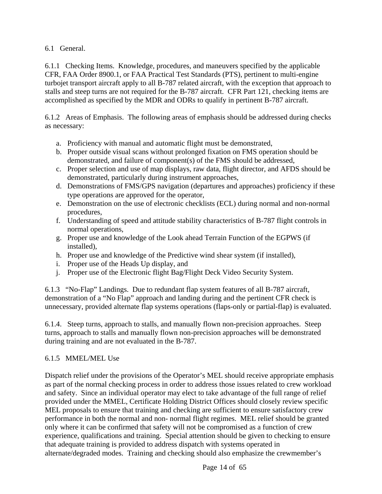6.1 General.

6.1.1 Checking Items. Knowledge, procedures, and maneuvers specified by the applicable CFR, FAA Order 8900.1, or FAA Practical Test Standards (PTS), pertinent to multi-engine turbojet transport aircraft apply to all B-787 related aircraft, with the exception that approach to stalls and steep turns are not required for the B-787 aircraft. CFR Part 121, checking items are accomplished as specified by the MDR and ODRs to qualify in pertinent B-787 aircraft.

6.1.2 Areas of Emphasis. The following areas of emphasis should be addressed during checks as necessary:

- a. Proficiency with manual and automatic flight must be demonstrated,
- b. Proper outside visual scans without prolonged fixation on FMS operation should be demonstrated, and failure of component(s) of the FMS should be addressed,
- c. Proper selection and use of map displays, raw data, flight director, and AFDS should be demonstrated, particularly during instrument approaches,
- d. Demonstrations of FMS/GPS navigation (departures and approaches) proficiency if these type operations are approved for the operator,
- e. Demonstration on the use of electronic checklists (ECL) during normal and non-normal procedures,
- f. Understanding of speed and attitude stability characteristics of B-787 flight controls in normal operations,
- g. Proper use and knowledge of the Look ahead Terrain Function of the EGPWS (if installed),
- h. Proper use and knowledge of the Predictive wind shear system (if installed),
- i. Proper use of the Heads Up display, and
- j. Proper use of the Electronic flight Bag/Flight Deck Video Security System.

6.1.3 "No-Flap" Landings. Due to redundant flap system features of all B-787 aircraft, demonstration of a "No Flap" approach and landing during and the pertinent CFR check is unnecessary, provided alternate flap systems operations (flaps-only or partial-flap) is evaluated.

6.1.4. Steep turns, approach to stalls, and manually flown non-precision approaches. Steep turns, approach to stalls and manually flown non-precision approaches will be demonstrated during training and are not evaluated in the B-787.

## 6.1.5 MMEL/MEL Use

Dispatch relief under the provisions of the Operator's MEL should receive appropriate emphasis as part of the normal checking process in order to address those issues related to crew workload and safety. Since an individual operator may elect to take advantage of the full range of relief provided under the MMEL, Certificate Holding District Offices should closely review specific MEL proposals to ensure that training and checking are sufficient to ensure satisfactory crew performance in both the normal and non- normal flight regimes. MEL relief should be granted only where it can be confirmed that safety will not be compromised as a function of crew experience, qualifications and training. Special attention should be given to checking to ensure that adequate training is provided to address dispatch with systems operated in alternate/degraded modes. Training and checking should also emphasize the crewmember's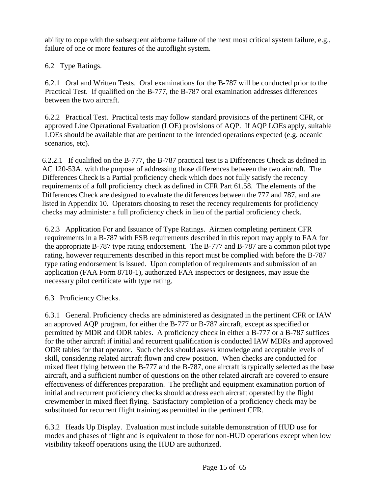ability to cope with the subsequent airborne failure of the next most critical system failure, e.g., failure of one or more features of the autoflight system.

6.2 Type Ratings.

6.2.1 Oral and Written Tests. Oral examinations for the B-787 will be conducted prior to the Practical Test. If qualified on the B-777, the B-787 oral examination addresses differences between the two aircraft.

6.2.2 Practical Test. Practical tests may follow standard provisions of the pertinent CFR, or approved Line Operational Evaluation (LOE) provisions of AQP. If AQP LOEs apply, suitable LOEs should be available that are pertinent to the intended operations expected (e.g. oceanic scenarios, etc).

6.2.2.1 If qualified on the B-777, the B-787 practical test is a Differences Check as defined in AC 120-53A, with the purpose of addressing those differences between the two aircraft. The Differences Check is a Partial proficiency check which does not fully satisfy the recency requirements of a full proficiency check as defined in CFR Part 61.58. The elements of the Differences Check are designed to evaluate the differences between the 777 and 787, and are listed in Appendix 10. Operators choosing to reset the recency requirements for proficiency checks may administer a full proficiency check in lieu of the partial proficiency check.

6.2.3 Application For and Issuance of Type Ratings. Airmen completing pertinent CFR requirements in a B-787 with FSB requirements described in this report may apply to FAA for the appropriate B-787 type rating endorsement. The B-777 and B-787 are a common pilot type rating, however requirements described in this report must be complied with before the B-787 type rating endorsement is issued. Upon completion of requirements and submission of an application (FAA Form 8710-1), authorized FAA inspectors or designees, may issue the necessary pilot certificate with type rating.

6.3 Proficiency Checks.

6.3.1 General. Proficiency checks are administered as designated in the pertinent CFR or IAW an approved AQP program, for either the B-777 or B-787 aircraft, except as specified or permitted by MDR and ODR tables. A proficiency check in either a B-777 or a B-787 suffices for the other aircraft if initial and recurrent qualification is conducted IAW MDRs and approved ODR tables for that operator. Such checks should assess knowledge and acceptable levels of skill, considering related aircraft flown and crew position. When checks are conducted for mixed fleet flying between the B-777 and the B-787, one aircraft is typically selected as the base aircraft, and a sufficient number of questions on the other related aircraft are covered to ensure effectiveness of differences preparation. The preflight and equipment examination portion of initial and recurrent proficiency checks should address each aircraft operated by the flight crewmember in mixed fleet flying. Satisfactory completion of a proficiency check may be substituted for recurrent flight training as permitted in the pertinent CFR.

6.3.2 Heads Up Display. Evaluation must include suitable demonstration of HUD use for modes and phases of flight and is equivalent to those for non-HUD operations except when low visibility takeoff operations using the HUD are authorized.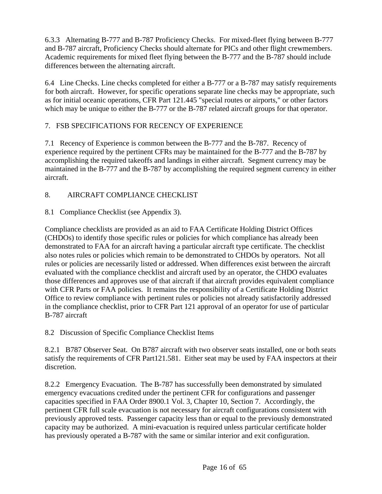6.3.3 Alternating B-777 and B-787 Proficiency Checks. For mixed-fleet flying between B-777 and B-787 aircraft, Proficiency Checks should alternate for PICs and other flight crewmembers. Academic requirements for mixed fleet flying between the B-777 and the B-787 should include differences between the alternating aircraft.

6.4 Line Checks. Line checks completed for either a B-777 or a B-787 may satisfy requirements for both aircraft. However, for specific operations separate line checks may be appropriate, such as for initial oceanic operations, CFR Part 121.445 "special routes or airports," or other factors which may be unique to either the B-777 or the B-787 related aircraft groups for that operator.

#### 7. FSB SPECIFICATIONS FOR RECENCY OF EXPERIENCE

7.1 Recency of Experience is common between the B-777 and the B-787. Recency of experience required by the pertinent CFRs may be maintained for the B-777 and the B-787 by accomplishing the required takeoffs and landings in either aircraft. Segment currency may be maintained in the B-777 and the B-787 by accomplishing the required segment currency in either aircraft.

## 8. AIRCRAFT COMPLIANCE CHECKLIST

8.1 Compliance Checklist (see Appendix 3).

Compliance checklists are provided as an aid to FAA Certificate Holding District Offices (CHDOs) to identify those specific rules or policies for which compliance has already been demonstrated to FAA for an aircraft having a particular aircraft type certificate. The checklist also notes rules or policies which remain to be demonstrated to CHDOs by operators. Not all rules or policies are necessarily listed or addressed. When differences exist between the aircraft evaluated with the compliance checklist and aircraft used by an operator, the CHDO evaluates those differences and approves use of that aircraft if that aircraft provides equivalent compliance with CFR Parts or FAA policies. It remains the responsibility of a Certificate Holding District Office to review compliance with pertinent rules or policies not already satisfactorily addressed in the compliance checklist, prior to CFR Part 121 approval of an operator for use of particular B-787 aircraft

8.2 Discussion of Specific Compliance Checklist Items

8.2.1 B787 Observer Seat. On B787 aircraft with two observer seats installed, one or both seats satisfy the requirements of CFR Part121.581. Either seat may be used by FAA inspectors at their discretion.

8.2.2 Emergency Evacuation. The B-787 has successfully been demonstrated by simulated emergency evacuations credited under the pertinent CFR for configurations and passenger capacities specified in FAA Order 8900.1 Vol. 3, Chapter 10, Section 7. Accordingly, the pertinent CFR full scale evacuation is not necessary for aircraft configurations consistent with previously approved tests. Passenger capacity less than or equal to the previously demonstrated capacity may be authorized. A mini-evacuation is required unless particular certificate holder has previously operated a B-787 with the same or similar interior and exit configuration.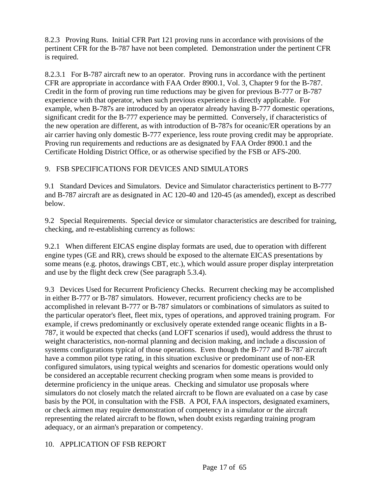8.2.3 Proving Runs. Initial CFR Part 121 proving runs in accordance with provisions of the pertinent CFR for the B-787 have not been completed. Demonstration under the pertinent CFR is required.

8.2.3.1 For B-787 aircraft new to an operator. Proving runs in accordance with the pertinent CFR are appropriate in accordance with FAA Order 8900.1, Vol. 3, Chapter 9 for the B-787. Credit in the form of proving run time reductions may be given for previous B-777 or B-787 experience with that operator, when such previous experience is directly applicable. For example, when B-787s are introduced by an operator already having B-777 domestic operations, significant credit for the B-777 experience may be permitted. Conversely, if characteristics of the new operation are different, as with introduction of B-787s for oceanic/ER operations by an air carrier having only domestic B-777 experience, less route proving credit may be appropriate. Proving run requirements and reductions are as designated by FAA Order 8900.1 and the Certificate Holding District Office, or as otherwise specified by the FSB or AFS-200.

#### 9. FSB SPECIFICATIONS FOR DEVICES AND SIMULATORS

9.1 Standard Devices and Simulators. Device and Simulator characteristics pertinent to B-777 and B-787 aircraft are as designated in AC 120-40 and 120-45 (as amended), except as described below.

9.2 Special Requirements. Special device or simulator characteristics are described for training, checking, and re-establishing currency as follows:

9.2.1 When different EICAS engine display formats are used, due to operation with different engine types (GE and RR), crews should be exposed to the alternate EICAS presentations by some means (e.g. photos, drawings CBT, etc.), which would assure proper display interpretation and use by the flight deck crew (See paragraph 5.3.4).

9.3 Devices Used for Recurrent Proficiency Checks. Recurrent checking may be accomplished in either B-777 or B-787 simulators. However, recurrent proficiency checks are to be accomplished in relevant B-777 or B-787 simulators or combinations of simulators as suited to the particular operator's fleet, fleet mix, types of operations, and approved training program. For example, if crews predominantly or exclusively operate extended range oceanic flights in a B-787, it would be expected that checks (and LOFT scenarios if used), would address the thrust to weight characteristics, non-normal planning and decision making, and include a discussion of systems configurations typical of those operations. Even though the B-777 and B-787 aircraft have a common pilot type rating, in this situation exclusive or predominant use of non-ER configured simulators, using typical weights and scenarios for domestic operations would only be considered an acceptable recurrent checking program when some means is provided to determine proficiency in the unique areas. Checking and simulator use proposals where simulators do not closely match the related aircraft to be flown are evaluated on a case by case basis by the POI, in consultation with the FSB. A POI, FAA inspectors, designated examiners, or check airmen may require demonstration of competency in a simulator or the aircraft representing the related aircraft to be flown, when doubt exists regarding training program adequacy, or an airman's preparation or competency.

## 10. APPLICATION OF FSB REPORT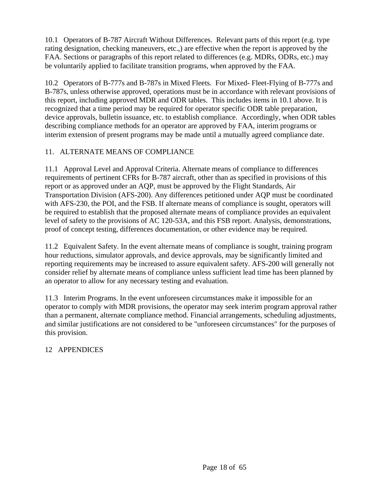10.1 Operators of B-787 Aircraft Without Differences. Relevant parts of this report (e.g. type rating designation, checking maneuvers, etc.,) are effective when the report is approved by the FAA. Sections or paragraphs of this report related to differences (e.g. MDRs, ODRs, etc.) may be voluntarily applied to facilitate transition programs, when approved by the FAA.

10.2 Operators of B-777s and B-787s in Mixed Fleets. For Mixed- Fleet-Flying of B-777s and B-787s, unless otherwise approved, operations must be in accordance with relevant provisions of this report, including approved MDR and ODR tables. This includes items in 10.1 above. It is recognized that a time period may be required for operator specific ODR table preparation, device approvals, bulletin issuance, etc. to establish compliance. Accordingly, when ODR tables describing compliance methods for an operator are approved by FAA, interim programs or interim extension of present programs may be made until a mutually agreed compliance date.

#### 11. ALTERNATE MEANS OF COMPLIANCE

11.1 Approval Level and Approval Criteria. Alternate means of compliance to differences requirements of pertinent CFRs for B-787 aircraft, other than as specified in provisions of this report or as approved under an AQP, must be approved by the Flight Standards, Air Transportation Division (AFS-200). Any differences petitioned under AQP must be coordinated with AFS-230, the POI, and the FSB. If alternate means of compliance is sought, operators will be required to establish that the proposed alternate means of compliance provides an equivalent level of safety to the provisions of AC 120-53A, and this FSB report. Analysis, demonstrations, proof of concept testing, differences documentation, or other evidence may be required.

11.2 Equivalent Safety. In the event alternate means of compliance is sought, training program hour reductions, simulator approvals, and device approvals, may be significantly limited and reporting requirements may be increased to assure equivalent safety. AFS-200 will generally not consider relief by alternate means of compliance unless sufficient lead time has been planned by an operator to allow for any necessary testing and evaluation.

11.3 Interim Programs. In the event unforeseen circumstances make it impossible for an operator to comply with MDR provisions, the operator may seek interim program approval rather than a permanent, alternate compliance method. Financial arrangements, scheduling adjustments, and similar justifications are not considered to be "unforeseen circumstances" for the purposes of this provision.

## 12 APPENDICES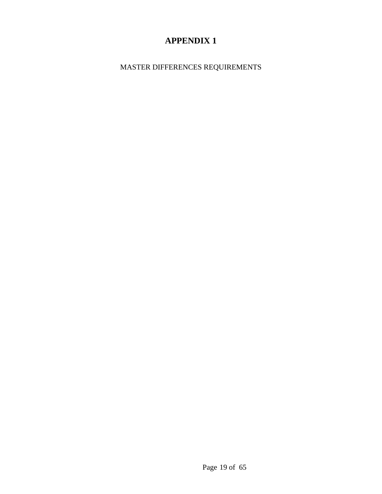MASTER DIFFERENCES REQUIREMENTS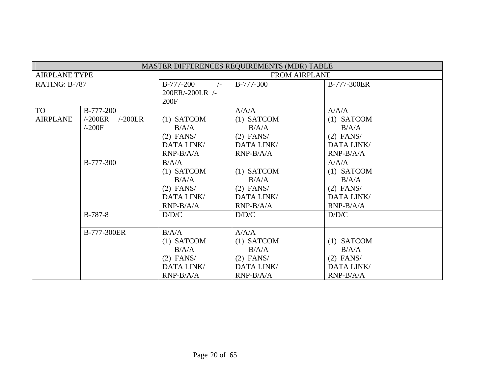|                      | MASTER DIFFERENCES REQUIREMENTS (MDR) TABLE |                         |                      |                   |  |  |  |  |  |  |  |  |  |
|----------------------|---------------------------------------------|-------------------------|----------------------|-------------------|--|--|--|--|--|--|--|--|--|
| <b>AIRPLANE TYPE</b> |                                             |                         | <b>FROM AIRPLANE</b> |                   |  |  |  |  |  |  |  |  |  |
| RATING: B-787        |                                             | B-777-200<br>$\sqrt{-}$ | B-777-300            | B-777-300ER       |  |  |  |  |  |  |  |  |  |
|                      |                                             | 200ER/-200LR /-         |                      |                   |  |  |  |  |  |  |  |  |  |
|                      |                                             | 200F                    |                      |                   |  |  |  |  |  |  |  |  |  |
| <b>TO</b>            | B-777-200                                   |                         | A/A/A                | A/A/A             |  |  |  |  |  |  |  |  |  |
| <b>AIRPLANE</b>      | $-200LR$<br>$-200ER$                        | $(1)$ SATCOM            | $(1)$ SATCOM         | $(1)$ SATCOM      |  |  |  |  |  |  |  |  |  |
|                      | /200F                                       | B/A/A                   | B/A/A                | B/A/A             |  |  |  |  |  |  |  |  |  |
|                      |                                             | $(2)$ FANS/             | $(2)$ FANS/          | $(2)$ FANS/       |  |  |  |  |  |  |  |  |  |
|                      |                                             | DATA LINK/              | DATA LINK/           | <b>DATA LINK/</b> |  |  |  |  |  |  |  |  |  |
|                      |                                             | $RNP-B/A/A$             | $RNP-B/A/A$          | $RNP-B/A/A$       |  |  |  |  |  |  |  |  |  |
|                      | B-777-300                                   | B/A/A                   |                      | A/A/A             |  |  |  |  |  |  |  |  |  |
|                      |                                             | $(1)$ SATCOM            | $(1)$ SATCOM         | $(1)$ SATCOM      |  |  |  |  |  |  |  |  |  |
|                      |                                             | B/A/A                   | B/A/A                | B/A/A             |  |  |  |  |  |  |  |  |  |
|                      |                                             | $(2)$ FANS/             | $(2)$ FANS/          | $(2)$ FANS/       |  |  |  |  |  |  |  |  |  |
|                      |                                             | DATA LINK/              | DATA LINK/           | DATA LINK/        |  |  |  |  |  |  |  |  |  |
|                      |                                             | $RNP-B/A/A$             | $RNP-B/A/A$          | $RNP-B/A/A$       |  |  |  |  |  |  |  |  |  |
|                      | $B-787-8$                                   | D/D/C                   | D/D/C                | D/D/C             |  |  |  |  |  |  |  |  |  |
|                      |                                             |                         |                      |                   |  |  |  |  |  |  |  |  |  |
|                      | B-777-300ER                                 | B/A/A                   | A/A/A                |                   |  |  |  |  |  |  |  |  |  |
|                      |                                             | $(1)$ SATCOM            | $(1)$ SATCOM         | $(1)$ SATCOM      |  |  |  |  |  |  |  |  |  |
|                      |                                             | B/A/A                   | B/A/A                | B/A/A             |  |  |  |  |  |  |  |  |  |
|                      |                                             | $(2)$ FANS/             | $(2)$ FANS/          | $(2)$ FANS/       |  |  |  |  |  |  |  |  |  |
|                      |                                             | DATA LINK/              | DATA LINK/           | DATA LINK/        |  |  |  |  |  |  |  |  |  |
|                      |                                             | $RNP-B/A/A$             | $RNP-B/A/A$          | RNP-B/A/A         |  |  |  |  |  |  |  |  |  |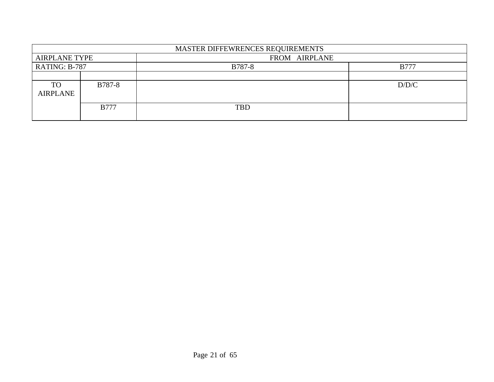|                      | MASTER DIFFEWRENCES REQUIREMENTS |               |             |  |  |  |  |  |  |  |  |  |
|----------------------|----------------------------------|---------------|-------------|--|--|--|--|--|--|--|--|--|
| <b>AIRPLANE TYPE</b> |                                  | FROM AIRPLANE |             |  |  |  |  |  |  |  |  |  |
| RATING: B-787        |                                  | B787-8        | <b>B777</b> |  |  |  |  |  |  |  |  |  |
|                      |                                  |               |             |  |  |  |  |  |  |  |  |  |
| <b>TO</b>            | <b>B787-8</b>                    |               | D/D/C       |  |  |  |  |  |  |  |  |  |
| <b>AIRPLANE</b>      |                                  |               |             |  |  |  |  |  |  |  |  |  |
|                      | <b>B777</b>                      | <b>TBD</b>    |             |  |  |  |  |  |  |  |  |  |
|                      |                                  |               |             |  |  |  |  |  |  |  |  |  |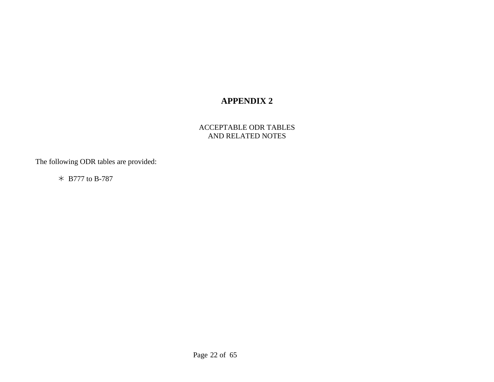#### ACCEPTABLE ODR TABLES AND RELATED NOTES

The following ODR tables are provided:

¼ B777 to B-787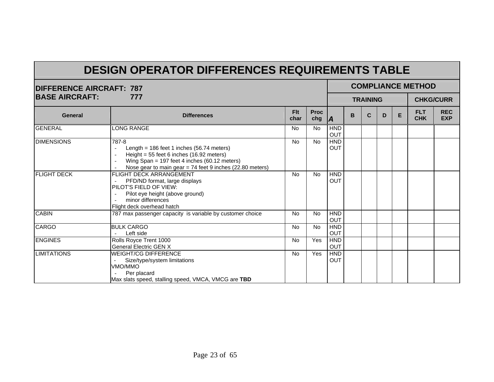# **DESIGN OPERATOR DIFFERENCES REQUIREMENTS TABLE**

| <b>DIFFERENCE AIRCRAFT: 787</b> |                                                                                                                                                                                                                        |                    |                    |                          |   |                 |   |   | <b>COMPLIANCE METHOD</b> |                          |
|---------------------------------|------------------------------------------------------------------------------------------------------------------------------------------------------------------------------------------------------------------------|--------------------|--------------------|--------------------------|---|-----------------|---|---|--------------------------|--------------------------|
| <b>BASE AIRCRAFT:</b>           | 777                                                                                                                                                                                                                    |                    |                    |                          |   | <b>TRAINING</b> |   |   |                          | <b>CHKG/CURR</b>         |
| <b>General</b>                  | <b>Differences</b>                                                                                                                                                                                                     | <b>Flt</b><br>char | <b>Proc</b><br>chg | A                        | B | C               | D | E | <b>FLT</b><br><b>CHK</b> | <b>REC</b><br><b>EXP</b> |
| <b>GENERAL</b>                  | LONG RANGE                                                                                                                                                                                                             | <b>No</b>          | <b>No</b>          | <b>HND</b><br>OUT        |   |                 |   |   |                          |                          |
| <b>DIMENSIONS</b>               | 787-8<br>Length = 186 feet 1 inches (56.74 meters)<br>Height = $55$ feet 6 inches (16.92 meters)<br>Wing Span = 197 feet 4 inches (60.12 meters)<br>$\sim$<br>Nose gear to main gear = 74 feet 9 inches (22.80 meters) | <b>No</b>          | <b>No</b>          | <b>HND</b><br><b>OUT</b> |   |                 |   |   |                          |                          |
| <b>FLIGHT DECK</b>              | <b>FLIGHT DECK ARRANGEMENT</b><br>PFD/ND format, large displays<br>PILOT'S FIELD OF VIEW:<br>Pilot eye height (above ground)<br>minor differences<br>Flight deck overhead hatch                                        | <b>No</b>          | <b>No</b>          | <b>HND</b><br>OUT        |   |                 |   |   |                          |                          |
| <b>CABIN</b>                    | 787 max passenger capacity is variable by customer choice                                                                                                                                                              | <b>No</b>          | <b>No</b>          | <b>HND</b><br><b>OUT</b> |   |                 |   |   |                          |                          |
| <b>CARGO</b>                    | <b>BULK CARGO</b><br>Left side                                                                                                                                                                                         | <b>No</b>          | <b>No</b>          | <b>HND</b><br>OUT        |   |                 |   |   |                          |                          |
| <b>ENGINES</b>                  | Rolls Royce Trent 1000<br><b>General Electric GEN X</b>                                                                                                                                                                | <b>No</b>          | <b>Yes</b>         | <b>HND</b><br>OUT        |   |                 |   |   |                          |                          |
| <b>LIMITATIONS</b>              | <b>WEIGHT/CG DIFFERENCE</b><br>Size/type/system limitations<br>VMO/MMO<br>Per placard<br>Max slats speed, stalling speed, VMCA, VMCG are TBD                                                                           | <b>No</b>          | Yes                | <b>HND</b><br><b>OUT</b> |   |                 |   |   |                          |                          |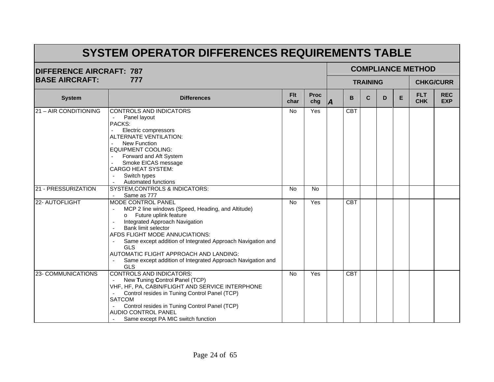| <b>DIFFERENCE AIRCRAFT: 787</b> |                                                                                                                                                                                                                                                                                                                                                                                                          |                    |                    |    |            |                 |                          | <b>COMPLIANCE METHOD</b> |                  |
|---------------------------------|----------------------------------------------------------------------------------------------------------------------------------------------------------------------------------------------------------------------------------------------------------------------------------------------------------------------------------------------------------------------------------------------------------|--------------------|--------------------|----|------------|-----------------|--------------------------|--------------------------|------------------|
| <b>BASE AIRCRAFT:</b>           | 777                                                                                                                                                                                                                                                                                                                                                                                                      |                    |                    |    |            | <b>TRAINING</b> |                          |                          | <b>CHKG/CURR</b> |
| <b>System</b>                   | <b>Differences</b>                                                                                                                                                                                                                                                                                                                                                                                       | <b>Fit</b><br>char | <b>Proc</b><br>chg | ΙA | B          | C               | <b>FLT</b><br><b>CHK</b> | <b>REC</b><br><b>EXP</b> |                  |
| 21 - AIR CONDITIONING           | CONTROLS AND INDICATORS<br>Panel layout<br>PACKS:<br>Electric compressors<br>ALTERNATE VENTILATION:<br>New Function<br><b>EQUIPMENT COOLING:</b><br>Forward and Aft System<br>Smoke EICAS message<br><b>CARGO HEAT SYSTEM:</b><br>Switch types<br>Automated functions                                                                                                                                    | <b>No</b>          | Yes                |    | <b>CBT</b> |                 |                          |                          |                  |
| 21 - PRESSURIZATION             | SYSTEM, CONTROLS & INDICATORS:<br>Same as 777                                                                                                                                                                                                                                                                                                                                                            | <b>No</b>          | <b>No</b>          |    |            |                 |                          |                          |                  |
| 22- AUTOFLIGHT                  | MODE CONTROL PANEL<br>MCP 2 line windows (Speed, Heading, and Altitude)<br>Future uplink feature<br>$\circ$<br>Integrated Approach Navigation<br>Bank limit selector<br>AFDS FLIGHT MODE ANNUCIATIONS:<br>Same except addition of Integrated Approach Navigation and<br><b>GLS</b><br>AUTOMATIC FLIGHT APPROACH AND LANDING:<br>Same except addition of Integrated Approach Navigation and<br><b>GLS</b> | <b>No</b>          | Yes                |    | <b>CBT</b> |                 |                          |                          |                  |
| 23- COMMUNICATIONS              | <b>CONTROLS AND INDICATORS:</b><br>New Tuning Control Panel (TCP)<br>VHF, HF, PA, CABIN/FLIGHT AND SERVICE INTERPHONE<br>Control resides in Tuning Control Panel (TCP)<br><b>SATCOM</b><br>Control resides in Tuning Control Panel (TCP)<br><b>AUDIO CONTROL PANEL</b><br>Same except PA MIC switch function                                                                                             | <b>No</b>          | Yes                |    | <b>CBT</b> |                 |                          |                          |                  |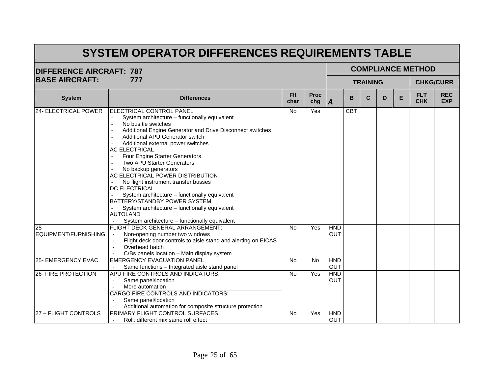| <b>DIFFERENCE AIRCRAFT: 787</b> |                                                                                                                                                                                                                                                                                                                                                                                                                                                                                                                                                                                                                                                           |                    |                    | <b>COMPLIANCE METHOD</b> |            |                 |   |                          |                          |                  |  |  |  |
|---------------------------------|-----------------------------------------------------------------------------------------------------------------------------------------------------------------------------------------------------------------------------------------------------------------------------------------------------------------------------------------------------------------------------------------------------------------------------------------------------------------------------------------------------------------------------------------------------------------------------------------------------------------------------------------------------------|--------------------|--------------------|--------------------------|------------|-----------------|---|--------------------------|--------------------------|------------------|--|--|--|
| <b>BASE AIRCRAFT:</b>           | 777                                                                                                                                                                                                                                                                                                                                                                                                                                                                                                                                                                                                                                                       |                    |                    |                          |            | <b>TRAINING</b> |   |                          |                          | <b>CHKG/CURR</b> |  |  |  |
| <b>System</b>                   | <b>Differences</b>                                                                                                                                                                                                                                                                                                                                                                                                                                                                                                                                                                                                                                        | <b>Flt</b><br>char | <b>Proc</b><br>chg | <b>IA</b>                | B          | $\mathbf C$     | E | <b>FLT</b><br><b>CHK</b> | <b>REC</b><br><b>EXP</b> |                  |  |  |  |
| 24- ELECTRICAL POWER            | ELECTRICAL CONTROL PANEL<br>System architecture - functionally equivalent<br>No bus tie switches<br>Additional Engine Generator and Drive Disconnect switches<br>Additional APU Generator switch<br>Additional external power switches<br><b>AC ELECTRICAL</b><br>Four Engine Starter Generators<br>Two APU Starter Generators<br>No backup generators<br>AC ELECTRICAL POWER DISTRIBUTION<br>No flight instrument transfer busses<br>DC ELECTRICAL<br>System architecture - functionally equivalent<br>BATTERY/STANDBY POWER SYSTEM<br>System architecture - functionally equivalent<br><b>AUTOLAND</b><br>System architecture - functionally equivalent | No                 | Yes                |                          | <b>CBT</b> |                 |   |                          |                          |                  |  |  |  |
| $25 -$<br>EQUIPMENT/FURNISHING  | FLIGHT DECK GENERAL ARRANGEMENT:<br>Non-opening number two windows<br>Flight deck door controls to aisle stand and alerting on EICAS<br>Overhead hatch<br>C/Bs panels location - Main display system                                                                                                                                                                                                                                                                                                                                                                                                                                                      | <b>No</b>          | Yes                | <b>HND</b><br><b>OUT</b> |            |                 |   |                          |                          |                  |  |  |  |
| 25- EMERGENCY EVAC              | <b>EMERGENCY EVACUATION PANEL</b><br>Same functions - Integrated aisle stand panel                                                                                                                                                                                                                                                                                                                                                                                                                                                                                                                                                                        | No                 | No                 | <b>HND</b><br>OUT        |            |                 |   |                          |                          |                  |  |  |  |
| 26- FIRE PROTECTION             | APU FIRE CONTROLS AND INDICATORS:<br>Same panel/location<br>More automation<br>CARGO FIRE CONTROLS AND INDICATORS:<br>Same panel/location<br>Additional automation for composite structure protection                                                                                                                                                                                                                                                                                                                                                                                                                                                     | <b>No</b>          | Yes                | <b>HND</b><br><b>OUT</b> |            |                 |   |                          |                          |                  |  |  |  |
| 27 - FLIGHT CONTROLS            | PRIMARY FLIGHT CONTROL SURFACES<br>Roll: different mix same roll effect                                                                                                                                                                                                                                                                                                                                                                                                                                                                                                                                                                                   | <b>No</b>          | Yes                | <b>HND</b><br><b>OUT</b> |            |                 |   |                          |                          |                  |  |  |  |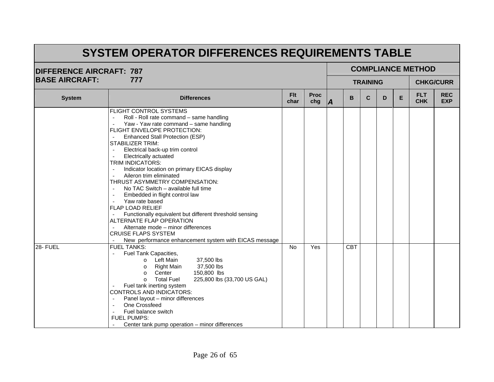| <b>DIFFERENCE AIRCRAFT: 787</b> |                                                                                                                                                                                                                                                                                                                                                                                                                                                                                                                                                                                                                                                                                                                                                                  |                    |                    |    |            |                 |   |   | <b>COMPLIANCE METHOD</b> |                          |
|---------------------------------|------------------------------------------------------------------------------------------------------------------------------------------------------------------------------------------------------------------------------------------------------------------------------------------------------------------------------------------------------------------------------------------------------------------------------------------------------------------------------------------------------------------------------------------------------------------------------------------------------------------------------------------------------------------------------------------------------------------------------------------------------------------|--------------------|--------------------|----|------------|-----------------|---|---|--------------------------|--------------------------|
| <b>BASE AIRCRAFT:</b>           | 777                                                                                                                                                                                                                                                                                                                                                                                                                                                                                                                                                                                                                                                                                                                                                              |                    |                    |    |            | <b>TRAINING</b> |   |   |                          | <b>CHKG/CURR</b>         |
| <b>System</b>                   | <b>Differences</b>                                                                                                                                                                                                                                                                                                                                                                                                                                                                                                                                                                                                                                                                                                                                               | <b>Flt</b><br>char | <b>Proc</b><br>chg | ΙA | B          | $\mathbf{C}$    | D | E | <b>FLT</b><br><b>CHK</b> | <b>REC</b><br><b>EXP</b> |
|                                 | FLIGHT CONTROL SYSTEMS<br>Roll - Roll rate command - same handling<br>Yaw - Yaw rate command - same handling<br>FLIGHT ENVELOPE PROTECTION:<br>Enhanced Stall Protection (ESP)<br><b>STABILIZER TRIM:</b><br>Electrical back-up trim control<br>Electrically actuated<br>TRIM INDICATORS:<br>Indicator location on primary EICAS display<br>$\mathcal{L}$<br>Aileron trim eliminated<br>THRUST ASYMMETRY COMPENSATION:<br>No TAC Switch - available full time<br>Embedded in flight control law<br>Yaw rate based<br><b>FLAP LOAD RELIEF</b><br>Functionally equivalent but different threshold sensing<br>ALTERNATE FLAP OPERATION<br>Alternate mode - minor differences<br><b>CRUISE FLAPS SYSTEM</b><br>New performance enhancement system with EICAS message |                    |                    |    |            |                 |   |   |                          |                          |
| 28- FUEL                        | <b>FUEL TANKS:</b><br>Fuel Tank Capacities,<br>$\overline{a}$<br>o Left Main<br>37,500 lbs<br>Right Main<br>37,500 lbs<br>$\circ$<br>Center<br>150,800 lbs<br>$\Omega$<br><b>Total Fuel</b><br>225,800 lbs (33,700 US GAL)<br>$\circ$<br>Fuel tank inerting system<br>CONTROLS AND INDICATORS:<br>Panel layout - minor differences<br>One Crossfeed<br>Fuel balance switch<br><b>FUEL PUMPS:</b><br>Center tank pump operation - minor differences                                                                                                                                                                                                                                                                                                               | <b>No</b>          | Yes                |    | <b>CBT</b> |                 |   |   |                          |                          |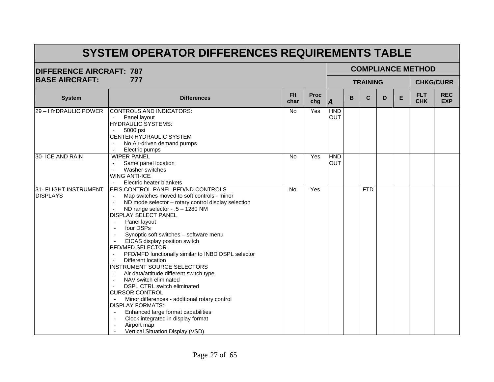| <b>DIFFERENCE AIRCRAFT: 787</b>          |                                                                                                                                                                                                                                                                                                                                                                                                                                                                                                                                                                                                                                                                                                                                                                                                                                                                                                                                  |                    |                    |                   |   |                 |   |                          | <b>COMPLIANCE METHOD</b> |                  |
|------------------------------------------|----------------------------------------------------------------------------------------------------------------------------------------------------------------------------------------------------------------------------------------------------------------------------------------------------------------------------------------------------------------------------------------------------------------------------------------------------------------------------------------------------------------------------------------------------------------------------------------------------------------------------------------------------------------------------------------------------------------------------------------------------------------------------------------------------------------------------------------------------------------------------------------------------------------------------------|--------------------|--------------------|-------------------|---|-----------------|---|--------------------------|--------------------------|------------------|
| <b>BASE AIRCRAFT:</b>                    | 777                                                                                                                                                                                                                                                                                                                                                                                                                                                                                                                                                                                                                                                                                                                                                                                                                                                                                                                              |                    |                    |                   |   | <b>TRAINING</b> |   |                          |                          | <b>CHKG/CURR</b> |
| <b>System</b>                            | <b>Differences</b>                                                                                                                                                                                                                                                                                                                                                                                                                                                                                                                                                                                                                                                                                                                                                                                                                                                                                                               | <b>Flt</b><br>char | <b>Proc</b><br>chg | A                 | B | $\mathbf C$     | E | <b>FLT</b><br><b>CHK</b> | <b>REC</b><br><b>EXP</b> |                  |
| 29 - HYDRAULIC POWER                     | <b>CONTROLS AND INDICATORS:</b><br>Panel layout<br>$\blacksquare$<br><b>HYDRAULIC SYSTEMS:</b><br>5000 psi<br>CENTER HYDRAULIC SYSTEM<br>No Air-driven demand pumps<br>$\mathcal{L}$<br>Electric pumps<br>$\blacksquare$                                                                                                                                                                                                                                                                                                                                                                                                                                                                                                                                                                                                                                                                                                         | No                 | Yes                | <b>HND</b><br>OUT |   |                 |   |                          |                          |                  |
| 30- ICE AND RAIN                         | <b>WIPER PANEL</b><br>Same panel location<br>Washer switches<br><b>WING ANTI-ICE</b><br>Electric heater blankets<br>$\sim$                                                                                                                                                                                                                                                                                                                                                                                                                                                                                                                                                                                                                                                                                                                                                                                                       | No                 | Yes                | <b>HND</b><br>OUT |   |                 |   |                          |                          |                  |
| 31- FLIGHT INSTRUMENT<br><b>DISPLAYS</b> | EFIS CONTROL PANEL PFD/ND CONTROLS<br>Map switches moved to soft controls - minor<br>ND mode selector - rotary control display selection<br>$\blacksquare$<br>ND range selector - .5 - 1280 NM<br><b>DISPLAY SELECT PANEL</b><br>Panel layout<br>$\blacksquare$<br>four DSPs<br>$\overline{\phantom{a}}$<br>Synoptic soft switches - software menu<br>EICAS display position switch<br>PFD/MFD SELECTOR<br>PFD/MFD functionally similar to INBD DSPL selector<br>$\blacksquare$<br>Different location<br>$\blacksquare$<br><b>INSTRUMENT SOURCE SELECTORS</b><br>Air data/attitude different switch type<br>NAV switch eliminated<br>DSPL CTRL switch eliminated<br><b>CURSOR CONTROL</b><br>Minor differences - additional rotary control<br><b>DISPLAY FORMATS:</b><br>Enhanced large format capabilities<br>Clock integrated in display format<br>Airport map<br>$\overline{\phantom{a}}$<br>Vertical Situation Display (VSD) | No                 | Yes                |                   |   | <b>FTD</b>      |   |                          |                          |                  |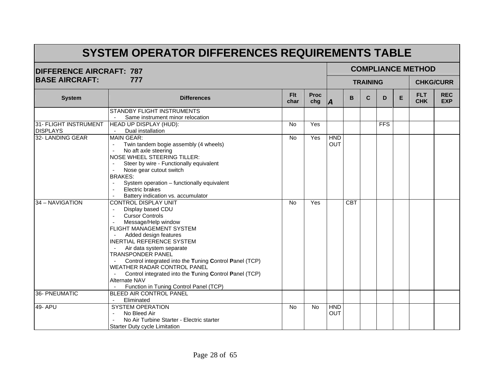| <b>DIFFERENCE AIRCRAFT: 787</b> |                                                              |                    |                    |                |            |                 |            |   | <b>COMPLIANCE METHOD</b> |                          |
|---------------------------------|--------------------------------------------------------------|--------------------|--------------------|----------------|------------|-----------------|------------|---|--------------------------|--------------------------|
| <b>BASE AIRCRAFT:</b>           | 777                                                          |                    |                    |                |            | <b>TRAINING</b> |            |   |                          | <b>CHKG/CURR</b>         |
| <b>System</b>                   | <b>Differences</b>                                           | <b>Flt</b><br>char | <b>Proc</b><br>chg | $\overline{A}$ | B          | $\mathbf C$     | D          | E | <b>FLT</b><br><b>CHK</b> | <b>REC</b><br><b>EXP</b> |
|                                 | STANDBY FLIGHT INSTRUMENTS                                   |                    |                    |                |            |                 |            |   |                          |                          |
|                                 | Same instrument minor relocation                             |                    |                    |                |            |                 |            |   |                          |                          |
| 31- FLIGHT INSTRUMENT           | HEAD UP DISPLAY (HUD):                                       | <b>No</b>          | Yes                |                |            |                 | <b>FFS</b> |   |                          |                          |
| <b>DISPLAYS</b>                 | Dual installation                                            |                    |                    |                |            |                 |            |   |                          |                          |
| 32- LANDING GEAR                | <b>MAIN GEAR:</b>                                            | No                 | Yes                | <b>HND</b>     |            |                 |            |   |                          |                          |
|                                 | Twin tandem bogie assembly (4 wheels)                        |                    |                    | OUT            |            |                 |            |   |                          |                          |
|                                 | No aft axle steering                                         |                    |                    |                |            |                 |            |   |                          |                          |
|                                 | <b>NOSE WHEEL STEERING TILLER:</b>                           |                    |                    |                |            |                 |            |   |                          |                          |
|                                 | Steer by wire - Functionally equivalent                      |                    |                    |                |            |                 |            |   |                          |                          |
|                                 | Nose gear cutout switch<br>$\blacksquare$                    |                    |                    |                |            |                 |            |   |                          |                          |
|                                 | <b>BRAKES:</b>                                               |                    |                    |                |            |                 |            |   |                          |                          |
|                                 | System operation - functionally equivalent<br>$\blacksquare$ |                    |                    |                |            |                 |            |   |                          |                          |
|                                 | Electric brakes                                              |                    |                    |                |            |                 |            |   |                          |                          |
|                                 | Battery indication vs. accumulator                           |                    |                    |                |            |                 |            |   |                          |                          |
| 34 - NAVIGATION                 | CONTROL DISPLAY UNIT                                         | <b>No</b>          | Yes                |                | <b>CBT</b> |                 |            |   |                          |                          |
|                                 | Display based CDU                                            |                    |                    |                |            |                 |            |   |                          |                          |
|                                 | <b>Cursor Controls</b>                                       |                    |                    |                |            |                 |            |   |                          |                          |
|                                 | Message/Help window                                          |                    |                    |                |            |                 |            |   |                          |                          |
|                                 | FLIGHT MANAGEMENT SYSTEM                                     |                    |                    |                |            |                 |            |   |                          |                          |
|                                 | Added design features                                        |                    |                    |                |            |                 |            |   |                          |                          |
|                                 | INERTIAL REFERENCE SYSTEM                                    |                    |                    |                |            |                 |            |   |                          |                          |
|                                 | Air data system separate                                     |                    |                    |                |            |                 |            |   |                          |                          |
|                                 | <b>TRANSPONDER PANEL</b>                                     |                    |                    |                |            |                 |            |   |                          |                          |
|                                 | Control integrated into the Tuning Control Panel (TCP)       |                    |                    |                |            |                 |            |   |                          |                          |
|                                 | WEATHER RADAR CONTROL PANEL                                  |                    |                    |                |            |                 |            |   |                          |                          |
|                                 | Control integrated into the Tuning Control Panel (TCP)       |                    |                    |                |            |                 |            |   |                          |                          |
|                                 | Alternate NAV                                                |                    |                    |                |            |                 |            |   |                          |                          |
|                                 | Function in Tuning Control Panel (TCP)                       |                    |                    |                |            |                 |            |   |                          |                          |
| 36- PNEUMATIC                   | BLEED AIR CONTROL PANEL                                      |                    |                    |                |            |                 |            |   |                          |                          |
|                                 | Eliminated<br>$\sim$                                         |                    |                    |                |            |                 |            |   |                          |                          |
| 49- APU                         | <b>SYSTEM OPERATION</b>                                      | <b>No</b>          | No                 | <b>HND</b>     |            |                 |            |   |                          |                          |
|                                 | No Bleed Air<br>$\blacksquare$                               |                    |                    | <b>OUT</b>     |            |                 |            |   |                          |                          |
|                                 | No Air Turbine Starter - Electric starter                    |                    |                    |                |            |                 |            |   |                          |                          |
|                                 | Starter Duty cycle Limitation                                |                    |                    |                |            |                 |            |   |                          |                          |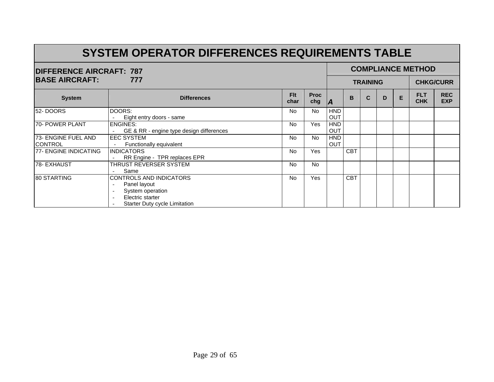|                       | <b>DIFFERENCE AIRCRAFT: 787</b><br>777<br><b>Flt</b><br><b>Proc</b><br><b>System</b><br><b>Differences</b><br>char<br>chg<br>DOORS:<br>No<br>No.<br>Eight entry doors - same<br><b>ENGINES:</b><br><b>Yes</b><br><b>No</b><br>GE & RR - engine type design differences<br><b>EEC SYSTEM</b><br><b>No</b><br><b>No</b><br>Functionally equivalent<br>$\sim$<br><b>Yes</b><br><b>No</b><br><b>INDICATORS</b><br>RR Engine - TPR replaces EPR<br><b>No</b><br>THRUST REVERSER SYSTEM<br><b>No</b><br>Same |           |     |            |            |                 |                  |   | <b>COMPLIANCE METHOD</b> |                          |
|-----------------------|--------------------------------------------------------------------------------------------------------------------------------------------------------------------------------------------------------------------------------------------------------------------------------------------------------------------------------------------------------------------------------------------------------------------------------------------------------------------------------------------------------|-----------|-----|------------|------------|-----------------|------------------|---|--------------------------|--------------------------|
| <b>BASE AIRCRAFT:</b> |                                                                                                                                                                                                                                                                                                                                                                                                                                                                                                        |           |     |            |            | <b>TRAINING</b> | <b>CHKG/CURR</b> |   |                          |                          |
|                       |                                                                                                                                                                                                                                                                                                                                                                                                                                                                                                        |           |     | A          | B          | C               | D                | E | <b>FLT</b><br><b>CHK</b> | <b>REC</b><br><b>EXP</b> |
| 52-DOORS              |                                                                                                                                                                                                                                                                                                                                                                                                                                                                                                        |           |     | <b>HND</b> |            |                 |                  |   |                          |                          |
|                       |                                                                                                                                                                                                                                                                                                                                                                                                                                                                                                        |           |     | <b>OUT</b> |            |                 |                  |   |                          |                          |
| 70- POWER PLANT       |                                                                                                                                                                                                                                                                                                                                                                                                                                                                                                        |           |     | <b>HND</b> |            |                 |                  |   |                          |                          |
|                       |                                                                                                                                                                                                                                                                                                                                                                                                                                                                                                        |           |     | <b>OUT</b> |            |                 |                  |   |                          |                          |
| 73- ENGINE FUEL AND   |                                                                                                                                                                                                                                                                                                                                                                                                                                                                                                        |           |     | <b>HND</b> |            |                 |                  |   |                          |                          |
| <b>CONTROL</b>        |                                                                                                                                                                                                                                                                                                                                                                                                                                                                                                        |           |     | <b>OUT</b> |            |                 |                  |   |                          |                          |
| 77- ENGINE INDICATING |                                                                                                                                                                                                                                                                                                                                                                                                                                                                                                        |           |     |            | <b>CBT</b> |                 |                  |   |                          |                          |
|                       |                                                                                                                                                                                                                                                                                                                                                                                                                                                                                                        |           |     |            |            |                 |                  |   |                          |                          |
| <b>78- EXHAUST</b>    |                                                                                                                                                                                                                                                                                                                                                                                                                                                                                                        |           |     |            |            |                 |                  |   |                          |                          |
|                       |                                                                                                                                                                                                                                                                                                                                                                                                                                                                                                        |           |     |            |            |                 |                  |   |                          |                          |
| 80 STARTING           | <b>CONTROLS AND INDICATORS</b>                                                                                                                                                                                                                                                                                                                                                                                                                                                                         | <b>No</b> | Yes |            | <b>CBT</b> |                 |                  |   |                          |                          |
|                       | Panel layout                                                                                                                                                                                                                                                                                                                                                                                                                                                                                           |           |     |            |            |                 |                  |   |                          |                          |
|                       | System operation                                                                                                                                                                                                                                                                                                                                                                                                                                                                                       |           |     |            |            |                 |                  |   |                          |                          |
|                       | Electric starter                                                                                                                                                                                                                                                                                                                                                                                                                                                                                       |           |     |            |            |                 |                  |   |                          |                          |
|                       | <b>Starter Duty cycle Limitation</b>                                                                                                                                                                                                                                                                                                                                                                                                                                                                   |           |     |            |            |                 |                  |   |                          |                          |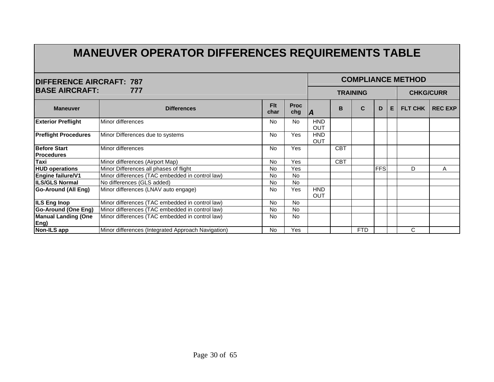# **MANEUVER OPERATOR DIFFERENCES REQUIREMENTS TABLE**

| <b>COMPLIANCE METHOD</b>                 |                                                    |                    |                    |                          |            |                 |               |                  |   |   |  |  |  |  |
|------------------------------------------|----------------------------------------------------|--------------------|--------------------|--------------------------|------------|-----------------|---------------|------------------|---|---|--|--|--|--|
| <b>DIFFERENCE AIRCRAFT: 787</b>          |                                                    |                    |                    |                          |            |                 |               |                  |   |   |  |  |  |  |
| <b>BASE AIRCRAFT:</b>                    | 777                                                |                    |                    |                          |            | <b>TRAINING</b> |               | <b>CHKG/CURR</b> |   |   |  |  |  |  |
| <b>Maneuver</b>                          | <b>Differences</b>                                 | <b>Flt</b><br>char | <b>Proc</b><br>chg | <b>IA</b>                | B          | <b>FLT CHK</b>  | <b>RECEXP</b> |                  |   |   |  |  |  |  |
| <b>Exterior Preflight</b>                | Minor differences                                  | No                 | <b>No</b>          | <b>HND</b><br><b>OUT</b> |            |                 |               |                  |   |   |  |  |  |  |
| <b>Preflight Procedures</b>              | Minor Differences due to systems                   | <b>No</b>          | Yes                | <b>HND</b><br>OUT        |            |                 |               |                  |   |   |  |  |  |  |
| <b>Before Start</b><br><b>Procedures</b> | Minor differences                                  | <b>No</b>          | Yes                |                          | <b>CBT</b> |                 |               |                  |   |   |  |  |  |  |
| Taxi                                     | Minor differences (Airport Map)                    | No                 | Yes                |                          | <b>CBT</b> |                 |               |                  |   |   |  |  |  |  |
| <b>HUD operations</b>                    | Minor Differences all phases of flight             | <b>No</b>          | Yes                |                          |            |                 | <b>FFS</b>    |                  | D | A |  |  |  |  |
| Engine failure/V1                        | Minor differences (TAC embedded in control law)    | <b>No</b>          | <b>No</b>          |                          |            |                 |               |                  |   |   |  |  |  |  |
| <b>ILS/GLS Normal</b>                    | No differences (GLS added)                         | No                 | <b>No</b>          |                          |            |                 |               |                  |   |   |  |  |  |  |
| <b>Go-Around (All Eng)</b>               | Minor differences (LNAV auto engage)               | No                 | Yes                | <b>HND</b><br><b>OUT</b> |            |                 |               |                  |   |   |  |  |  |  |
| <b>ILS Eng Inop</b>                      | Minor differences (TAC embedded in control law)    | <b>No</b>          | <b>No</b>          |                          |            |                 |               |                  |   |   |  |  |  |  |
| <b>Go-Around (One Eng)</b>               | Minor differences (TAC embedded in control law)    | No                 | <b>No</b>          |                          |            |                 |               |                  |   |   |  |  |  |  |
| <b>Manual Landing (One</b><br>Eng)       | Minor differences (TAC embedded in control law)    | No                 | <b>No</b>          |                          |            |                 |               |                  |   |   |  |  |  |  |
| Non-ILS app                              | Minor differences (Integrated Approach Navigation) | <b>No</b>          | Yes                |                          |            | <b>FTD</b>      |               |                  | C |   |  |  |  |  |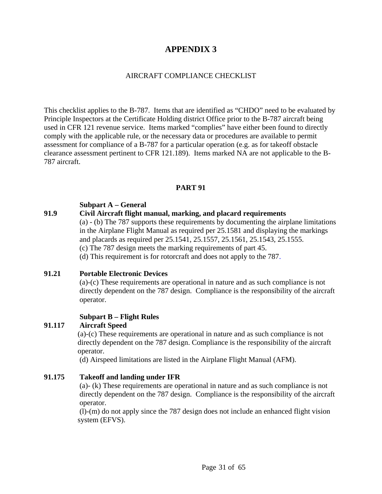#### AIRCRAFT COMPLIANCE CHECKLIST

This checklist applies to the B-787. Items that are identified as "CHDO" need to be evaluated by Principle Inspectors at the Certificate Holding district Office prior to the B-787 aircraft being used in CFR 121 revenue service. Items marked "complies" have either been found to directly comply with the applicable rule, or the necessary data or procedures are available to permit assessment for compliance of a B-787 for a particular operation (e.g. as for takeoff obstacle clearance assessment pertinent to CFR 121.189). Items marked NA are not applicable to the B-787 aircraft.

#### **PART 91**

#### **Subpart A – General**

#### **91.9 Civil Aircraft flight manual, marking, and placard requirements**

(a) - (b) The 787 supports these requirements by documenting the airplane limitations in the Airplane Flight Manual as required per 25.1581 and displaying the markings and placards as required per 25.1541, 25.1557, 25.1561, 25.1543, 25.1555.

(c) The 787 design meets the marking requirements of part 45.

(d) This requirement is for rotorcraft and does not apply to the 787.

#### **91.21 Portable Electronic Devices**

(a)-(c) These requirements are operational in nature and as such compliance is not directly dependent on the 787 design. Compliance is the responsibility of the aircraft operator.

#### **Subpart B – Flight Rules**

#### **91.117 Aircraft Speed**

(a)-(c) These requirements are operational in nature and as such compliance is not directly dependent on the 787 design. Compliance is the responsibility of the aircraft operator.

(d) Airspeed limitations are listed in the Airplane Flight Manual (AFM).

#### **91.175 Takeoff and landing under IFR**

(a)- (k) These requirements are operational in nature and as such compliance is not directly dependent on the 787 design. Compliance is the responsibility of the aircraft operator.

 (l)-(m) do not apply since the 787 design does not include an enhanced flight vision system (EFVS).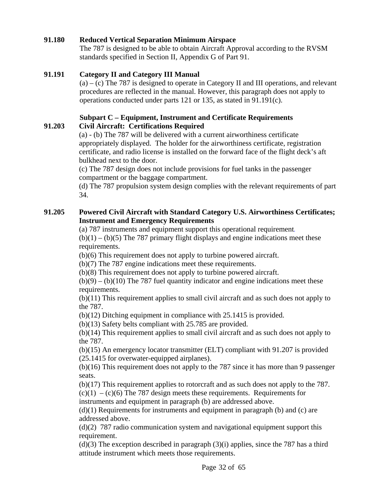#### **91.180 Reduced Vertical Separation Minimum Airspace**

The 787 is designed to be able to obtain Aircraft Approval according to the RVSM standards specified in Section II, Appendix G of Part 91.

#### **91.191 Category II and Category III Manual**

 $(a) - (c)$  The 787 is designed to operate in Category II and III operations, and relevant procedures are reflected in the manual. However, this paragraph does not apply to operations conducted under parts 121 or 135, as stated in 91.191(c).

#### **Subpart C – Equipment, Instrument and Certificate Requirements 91.203 Civil Aircraft: Certifications Required**

(a) - (b) The 787 will be delivered with a current airworthiness certificate appropriately displayed. The holder for the airworthiness certificate, registration certificate, and radio license is installed on the forward face of the flight deck's aft bulkhead next to the door.

(c) The 787 design does not include provisions for fuel tanks in the passenger compartment or the baggage compartment.

(d) The 787 propulsion system design complies with the relevant requirements of part 34.

#### **91.205 Powered Civil Aircraft with Standard Category U.S. Airworthiness Certificates; Instrument and Emergency Requirements**

(a) 787 instruments and equipment support this operational requirement*.*

 $(b)(1) - (b)(5)$  The 787 primary flight displays and engine indications meet these requirements.

(b)(6) This requirement does not apply to turbine powered aircraft.

(b)(7) The 787 engine indications meet these requirements.

(b)(8) This requirement does not apply to turbine powered aircraft.

 $(b)(9) - (b)(10)$  The 787 fuel quantity indicator and engine indications meet these requirements.

(b)(11) This requirement applies to small civil aircraft and as such does not apply to the 787.

(b)(12) Ditching equipment in compliance with 25.1415 is provided.

(b)(13) Safety belts compliant with 25.785 are provided.

(b)(14) This requirement applies to small civil aircraft and as such does not apply to the 787.

(b)(15) An emergency locator transmitter (ELT) compliant with 91.207 is provided (25.1415 for overwater-equipped airplanes).

(b)(16) This requirement does not apply to the 787 since it has more than 9 passenger seats.

(b)(17) This requirement applies to rotorcraft and as such does not apply to the 787.

 $(c)(1) - (c)(6)$  The 787 design meets these requirements. Requirements for instruments and equipment in paragraph (b) are addressed above.

 $(d)(1)$  Requirements for instruments and equipment in paragraph (b) and (c) are addressed above.

(d)(2) 787 radio communication system and navigational equipment support this requirement.

 $(d)(3)$  The exception described in paragraph  $(3)(i)$  applies, since the 787 has a third attitude instrument which meets those requirements.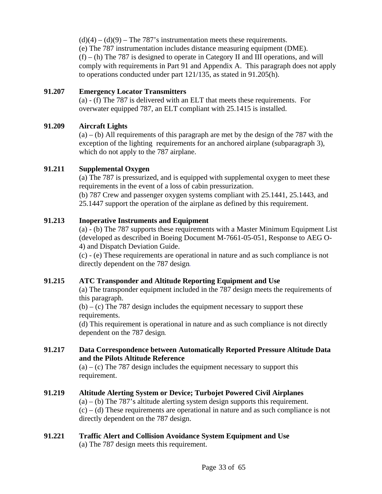$(d)(4) - (d)(9)$  – The 787's instrumentation meets these requirements. (e) The 787 instrumentation includes distance measuring equipment (DME).  $(f) - (h)$  The 787 is designed to operate in Category II and III operations, and will comply with requirements in Part 91 and Appendix A. This paragraph does not apply to operations conducted under part 121/135, as stated in 91.205(h).

#### **91.207 Emergency Locator Transmitters**

(a) - (f) The 787 is delivered with an ELT that meets these requirements. For overwater equipped 787, an ELT compliant with 25.1415 is installed.

#### **91.209 Aircraft Lights**

 $(a) - (b)$  All requirements of this paragraph are met by the design of the 787 with the exception of the lighting requirements for an anchored airplane (subparagraph 3), which do not apply to the 787 airplane.

#### **91.211 Supplemental Oxygen**

(a) The 787 is pressurized, and is equipped with supplemental oxygen to meet these requirements in the event of a loss of cabin pressurization.

(b) 787 Crew and passenger oxygen systems compliant with 25.1441, 25.1443, and 25.1447 support the operation of the airplane as defined by this requirement.

#### **91.213 Inoperative Instruments and Equipment**

(a) - (b) The 787 supports these requirements with a Master Minimum Equipment List (developed as described in Boeing Document M-7661-05-051, Response to AEG O-4) and Dispatch Deviation Guide.

(c) - (e) These requirements are operational in nature and as such compliance is not directly dependent on the 787 design*.* 

#### **91.215 ATC Transponder and Altitude Reporting Equipment and Use**

(a) The transponder equipment included in the 787 design meets the requirements of this paragraph.

 $(b) - (c)$  The 787 design includes the equipment necessary to support these requirements.

(d) This requirement is operational in nature and as such compliance is not directly dependent on the 787 design*.* 

#### **91.217 Data Correspondence between Automatically Reported Pressure Altitude Data and the Pilots Altitude Reference**

 $(a) - (c)$  The 787 design includes the equipment necessary to support this requirement.

#### **91.219 Altitude Alerting System or Device; Turbojet Powered Civil Airplanes**

 $(a) - (b)$  The 787's altitude alerting system design supports this requirement.  $(c) - (d)$  These requirements are operational in nature and as such compliance is not directly dependent on the 787 design.

## **91.221 Traffic Alert and Collision Avoidance System Equipment and Use**

(a) The 787 design meets this requirement.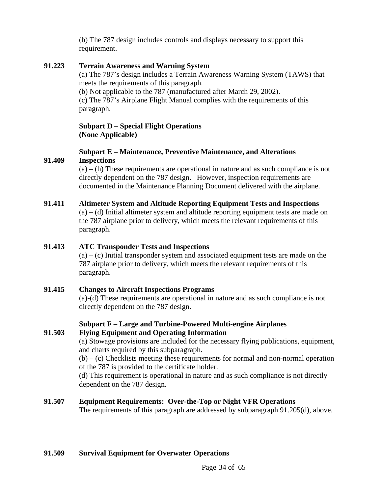(b) The 787 design includes controls and displays necessary to support this requirement.

#### **91.223 Terrain Awareness and Warning System**

(a) The 787's design includes a Terrain Awareness Warning System (TAWS) that meets the requirements of this paragraph.

(b) Not applicable to the 787 (manufactured after March 29, 2002). (c) The 787's Airplane Flight Manual complies with the requirements of this paragraph.

#### **Subpart D – Special Flight Operations (None Applicable)**

#### **Subpart E – Maintenance, Preventive Maintenance, and Alterations 91.409 Inspections**

 $(a) - (h)$  These requirements are operational in nature and as such compliance is not directly dependent on the 787 design. However, inspection requirements are documented in the Maintenance Planning Document delivered with the airplane.

#### **91.411 Altimeter System and Altitude Reporting Equipment Tests and Inspections**   $(a) - (d)$  Initial altimeter system and altitude reporting equipment tests are made on

the 787 airplane prior to delivery, which meets the relevant requirements of this paragraph.

#### **91.413 ATC Transponder Tests and Inspections**

 $(a) - (c)$  Initial transponder system and associated equipment tests are made on the 787 airplane prior to delivery, which meets the relevant requirements of this paragraph.

#### **91.415 Changes to Aircraft Inspections Programs**

(a)-(d) These requirements are operational in nature and as such compliance is not directly dependent on the 787 design.

#### **Subpart F – Large and Turbine-Powered Multi-engine Airplanes 91.503 Flying Equipment and Operating Information**

(a) Stowage provisions are included for the necessary flying publications, equipment, and charts required by this subparagraph.

 $(b) - (c)$  Checklists meeting these requirements for normal and non-normal operation of the 787 is provided to the certificate holder.

(d) This requirement is operational in nature and as such compliance is not directly dependent on the 787 design.

#### **91.507 Equipment Requirements: Over-the-Top or Night VFR Operations**

The requirements of this paragraph are addressed by subparagraph 91.205(d), above.

#### **91.509 Survival Equipment for Overwater Operations**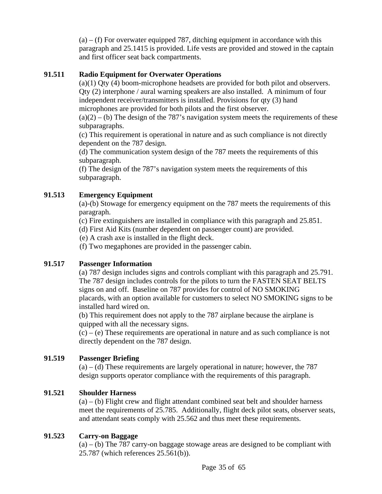$(a) - (f)$  For overwater equipped 787, ditching equipment in accordance with this paragraph and 25.1415 is provided. Life vests are provided and stowed in the captain and first officer seat back compartments.

## **91.511 Radio Equipment for Overwater Operations**

(a)(1) Qty (4) boom-microphone headsets are provided for both pilot and observers. Qty (2) interphone / aural warning speakers are also installed. A minimum of four independent receiver/transmitters is installed. Provisions for qty (3) hand microphones are provided for both pilots and the first observer.

 $(a)(2) - (b)$  The design of the 787's navigation system meets the requirements of these subparagraphs.

(c) This requirement is operational in nature and as such compliance is not directly dependent on the 787 design.

(d) The communication system design of the 787 meets the requirements of this subparagraph.

(f) The design of the 787's navigation system meets the requirements of this subparagraph.

#### **91.513 Emergency Equipment**

(a)-(b) Stowage for emergency equipment on the 787 meets the requirements of this paragraph.

(c) Fire extinguishers are installed in compliance with this paragraph and 25.851.

(d) First Aid Kits (number dependent on passenger count) are provided.

(e) A crash axe is installed in the flight deck.

(f) Two megaphones are provided in the passenger cabin.

#### **91.517 Passenger Information**

(a) 787 design includes signs and controls compliant with this paragraph and 25.791. The 787 design includes controls for the pilots to turn the FASTEN SEAT BELTS signs on and off. Baseline on 787 provides for control of NO SMOKING placards, with an option available for customers to select NO SMOKING signs to be installed hard wired on.

(b) This requirement does not apply to the 787 airplane because the airplane is quipped with all the necessary signs.

 $(c) - (e)$  These requirements are operational in nature and as such compliance is not directly dependent on the 787 design.

#### **91.519 Passenger Briefing**

 $(a) - (d)$  These requirements are largely operational in nature; however, the 787 design supports operator compliance with the requirements of this paragraph.

#### **91.521 Shoulder Harness**

 $(a) - (b)$  Flight crew and flight attendant combined seat belt and shoulder harness meet the requirements of 25.785. Additionally, flight deck pilot seats, observer seats, and attendant seats comply with 25.562 and thus meet these requirements.

#### **91.523 Carry-on Baggage**

 $(a) - (b)$  The 787 carry-on baggage stowage areas are designed to be compliant with 25.787 (which references 25.561(b)).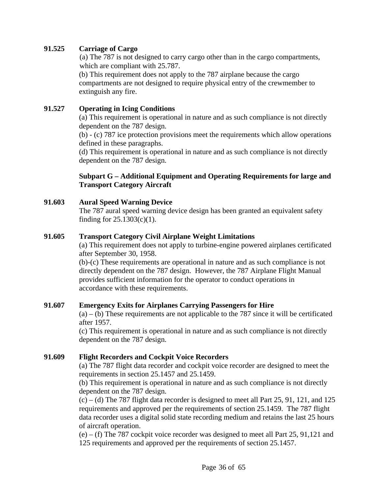#### **91.525 Carriage of Cargo**

(a) The 787 is not designed to carry cargo other than in the cargo compartments, which are compliant with 25.787.

(b) This requirement does not apply to the 787 airplane because the cargo compartments are not designed to require physical entry of the crewmember to extinguish any fire.

#### **91.527 Operating in Icing Conditions**

(a) This requirement is operational in nature and as such compliance is not directly dependent on the 787 design.

(b) - (c) 787 ice protection provisions meet the requirements which allow operations defined in these paragraphs.

(d) This requirement is operational in nature and as such compliance is not directly dependent on the 787 design.

#### **Subpart G – Additional Equipment and Operating Requirements for large and Transport Category Aircraft**

#### **91.603 Aural Speed Warning Device**

The 787 aural speed warning device design has been granted an equivalent safety finding for 25.1303(c)(1).

#### **91.605 Transport Category Civil Airplane Weight Limitations**

(a) This requirement does not apply to turbine-engine powered airplanes certificated after September 30, 1958.

(b)-(c) These requirements are operational in nature and as such compliance is not directly dependent on the 787 design. However, the 787 Airplane Flight Manual provides sufficient information for the operator to conduct operations in accordance with these requirements.

#### **91.607 Emergency Exits for Airplanes Carrying Passengers for Hire**

 $(a)$  – (b) These requirements are not applicable to the 787 since it will be certificated after 1957.

(c) This requirement is operational in nature and as such compliance is not directly dependent on the 787 design.

## **91.609 Flight Recorders and Cockpit Voice Recorders**

(a) The 787 flight data recorder and cockpit voice recorder are designed to meet the requirements in section 25.1457 and 25.1459.

(b) This requirement is operational in nature and as such compliance is not directly dependent on the 787 design.

 $(c)$  – (d) The 787 flight data recorder is designed to meet all Part 25, 91, 121, and 125 requirements and approved per the requirements of section 25.1459. The 787 flight data recorder uses a digital solid state recording medium and retains the last 25 hours of aircraft operation.

(e) – (f) The 787 cockpit voice recorder was designed to meet all Part 25, 91,121 and 125 requirements and approved per the requirements of section 25.1457.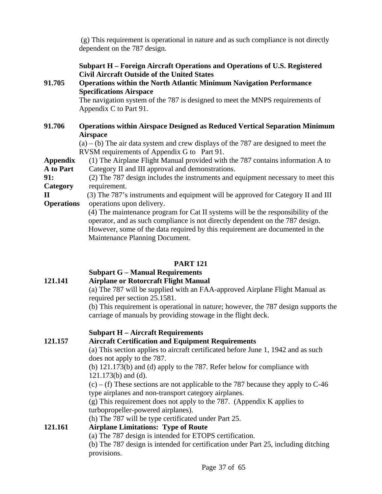(g) This requirement is operational in nature and as such compliance is not directly dependent on the 787 design.

#### **Subpart H – Foreign Aircraft Operations and Operations of U.S. Registered Civil Aircraft Outside of the United States**

#### **91.705 Operations within the North Atlantic Minimum Navigation Performance Specifications Airspace**

The navigation system of the 787 is designed to meet the MNPS requirements of Appendix C to Part 91.

#### **91.706 Operations within Airspace Designed as Reduced Vertical Separation Minimum Airspace**

 $(a) - (b)$  The air data system and crew displays of the 787 are designed to meet the RVSM requirements of Appendix G to Part 91.

**Appendix** (1) The Airplane Flight Manual provided with the 787 contains information A to **A to Part** Category II and III approval and demonstrations.

**91:** (2) The 787 design includes the instruments and equipment necessary to meet this **Category** requirement.

**II** (3) The 787's instruments and equipment will be approved for Category II and III **Operations** operations upon delivery.

(4) The maintenance program for Cat II systems will be the responsibility of the operator, and as such compliance is not directly dependent on the 787 design. However, some of the data required by this requirement are documented in the Maintenance Planning Document.

#### **PART 121**

# **Subpart G – Manual Requirements**

# **121.141 Airplane or Rotorcraft Flight Manual**

(a) The 787 will be supplied with an FAA-approved Airplane Flight Manual as required per section 25.1581.

(b) This requirement is operational in nature; however, the 787 design supports the carriage of manuals by providing stowage in the flight deck.

## **Subpart H – Aircraft Requirements**

#### **121.157 Aircraft Certification and Equipment Requirements**

(a) This section applies to aircraft certificated before June 1, 1942 and as such does not apply to the 787.

(b) 121.173(b) and (d) apply to the 787. Refer below for compliance with 121.173(b) and (d).

 $(c)$  – (f) These sections are not applicable to the 787 because they apply to C-46 type airplanes and non-transport category airplanes.

(g) This requirement does not apply to the 787. (Appendix K applies to turbopropeller-powered airplanes).

(h) The 787 will be type certificated under Part 25.

## **121.161 Airplane Limitations: Type of Route**

(a) The 787 design is intended for ETOPS certification.

(b) The 787 design is intended for certification under Part 25, including ditching provisions.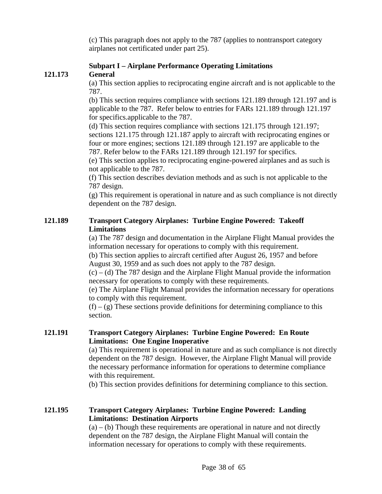(c) This paragraph does not apply to the 787 (applies to nontransport category airplanes not certificated under part 25).

# **Subpart I – Airplane Performance Operating Limitations**

## **121.173 General**

(a) This section applies to reciprocating engine aircraft and is not applicable to the 787.

(b) This section requires compliance with sections 121.189 through 121.197 and is applicable to the 787. Refer below to entries for FARs 121.189 through 121.197 for specifics.applicable to the 787.

(d) This section requires compliance with sections 121.175 through 121.197; sections 121.175 through 121.187 apply to aircraft with reciprocating engines or four or more engines; sections 121.189 through 121.197 are applicable to the 787. Refer below to the FARs 121.189 through 121.197 for specifics.

(e) This section applies to reciprocating engine-powered airplanes and as such is not applicable to the 787.

(f) This section describes deviation methods and as such is not applicable to the 787 design.

(g) This requirement is operational in nature and as such compliance is not directly dependent on the 787 design.

#### **121.189 Transport Category Airplanes: Turbine Engine Powered: Takeoff Limitations**

(a) The 787 design and documentation in the Airplane Flight Manual provides the information necessary for operations to comply with this requirement.

(b) This section applies to aircraft certified after August 26, 1957 and before August 30, 1959 and as such does not apply to the 787 design.

 $(c)$  – (d) The 787 design and the Airplane Flight Manual provide the information necessary for operations to comply with these requirements.

(e) The Airplane Flight Manual provides the information necessary for operations to comply with this requirement.

 $(f) - (g)$  These sections provide definitions for determining compliance to this section.

#### **121.191 Transport Category Airplanes: Turbine Engine Powered: En Route Limitations: One Engine Inoperative**

(a) This requirement is operational in nature and as such compliance is not directly dependent on the 787 design. However, the Airplane Flight Manual will provide the necessary performance information for operations to determine compliance with this requirement.

(b) This section provides definitions for determining compliance to this section.

## **121.195 Transport Category Airplanes: Turbine Engine Powered: Landing Limitations: Destination Airports**

 $(a) - (b)$  Though these requirements are operational in nature and not directly dependent on the 787 design, the Airplane Flight Manual will contain the information necessary for operations to comply with these requirements.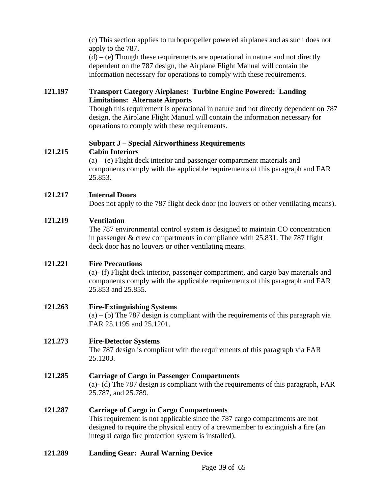(c) This section applies to turbopropeller powered airplanes and as such does not apply to the 787.  $(d) - (e)$  Though these requirements are operational in nature and not directly

dependent on the 787 design, the Airplane Flight Manual will contain the information necessary for operations to comply with these requirements.

## **121.197 Transport Category Airplanes: Turbine Engine Powered: Landing Limitations: Alternate Airports**

Though this requirement is operational in nature and not directly dependent on 787 design, the Airplane Flight Manual will contain the information necessary for operations to comply with these requirements.

#### **Subpart J – Special Airworthiness Requirements 121.215 Cabin Interiors**

(a) – (e) Flight deck interior and passenger compartment materials and components comply with the applicable requirements of this paragraph and FAR 25.853.

## **121.217 Internal Doors**

Does not apply to the 787 flight deck door (no louvers or other ventilating means).

#### **121.219 Ventilation**

The 787 environmental control system is designed to maintain CO concentration in passenger & crew compartments in compliance with 25.831. The 787 flight deck door has no louvers or other ventilating means.

## **121.221 Fire Precautions**

(a)- (f) Flight deck interior, passenger compartment, and cargo bay materials and components comply with the applicable requirements of this paragraph and FAR 25.853 and 25.855.

## **121.263 Fire-Extinguishing Systems**

 $(a) - (b)$  The 787 design is compliant with the requirements of this paragraph via FAR 25.1195 and 25.1201.

## **121.273 Fire-Detector Systems**

The 787 design is compliant with the requirements of this paragraph via FAR 25.1203.

# **121.285 Carriage of Cargo in Passenger Compartments**

(a)- (d) The 787 design is compliant with the requirements of this paragraph, FAR 25.787, and 25.789.

## **121.287 Carriage of Cargo in Cargo Compartments**

This requirement is not applicable since the 787 cargo compartments are not designed to require the physical entry of a crewmember to extinguish a fire (an integral cargo fire protection system is installed).

## **121.289 Landing Gear: Aural Warning Device**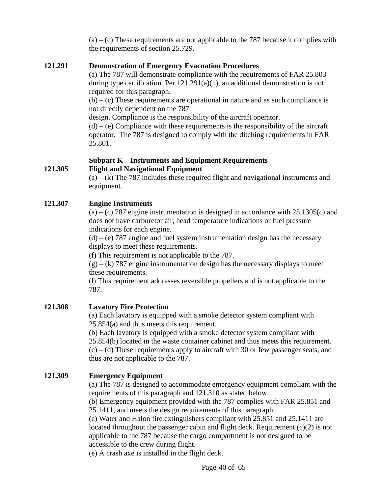$(a) - (c)$  These requirements are not applicable to the 787 because it complies with the requirements of section 25.729.

#### **121.291 Demonstration of Emergency Evacuation Procedures**

(a) The 787 will demonstrate compliance with the requirements of FAR 25.803 during type certification. Per 121.291(a)(1), an additional demonstration is not required for this paragraph.

 $(b) - (c)$  These requirements are operational in nature and as such compliance is not directly dependent on the 787

design. Compliance is the responsibility of the aircraft operator.

 $(d) - (e)$  Compliance with these requirements is the responsibility of the aircraft operator. The 787 is designed to comply with the ditching requirements in FAR 25.801.

# **Subpart K – Instruments and Equipment Requirements**

#### **121.305 Flight and Navigational Equipment**

 $(a) - (k)$  The 787 includes these required flight and navigational instruments and equipment.

## **121.307 Engine Instruments**

 $(a) - (c)$  787 engine instrumentation is designed in accordance with 25.1305 $(c)$  and does not have carburetor air, head temperature indications or fuel pressure indications for each engine.

 $(d)$  – (e) 787 engine and fuel system instrumentation design has the necessary displays to meet these requirements.

(f) This requirement is not applicable to the 787.

 $(g) - (k)$  787 engine instrumentation design has the necessary displays to meet these requirements.

(l) This requirement addresses reversible propellers and is not applicable to the 787.

## **121.308 Lavatory Fire Protection**

(a) Each lavatory is equipped with a smoke detector system compliant with 25.854(a) and thus meets this requirement.

(b) Each lavatory is equipped with a smoke detector system compliant with 25.854(b) located in the waste container cabinet and thus meets this requirement.  $(c) - (d)$  These requirements apply to aircraft with 30 or few passenger seats, and thus are not applicable to the 787.

## **121.309 Emergency Equipment**

(a) The 787 is designed to accommodate emergency equipment compliant with the requirements of this paragraph and 121.310 as stated below.

(b) Emergency equipment provided with the 787 complies with FAR 25.851 and 25.1411, and meets the design requirements of this paragraph.

(c) Water and Halon fire extinguishers compliant with 25.851 and 25.1411 are located throughout the passenger cabin and flight deck. Requirement (c)(2) is not applicable to the 787 because the cargo compartment is not designed to be accessible to the crew during flight.

(e) A crash axe is installed in the flight deck.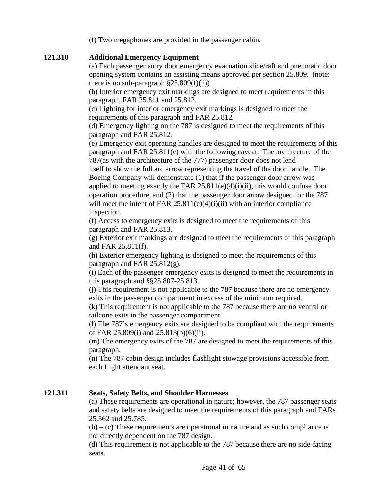(f) Two megaphones are provided in the passenger cabin.

#### **121.310 Additional Emergency Equipment**

(a) Each passenger entry door emergency evacuation slide/raft and pneumatic door opening system contains an assisting means approved per section 25.809. (note: there is no sub-paragraph  $\S 25.809(f)(1)$ 

(b) Interior emergency exit markings are designed to meet requirements in this paragraph, FAR 25.811 and 25.812.

(c) Lighting for interior emergency exit markings is designed to meet the requirements of this paragraph and FAR 25.812.

(d) Emergency lighting on the 787 is designed to meet the requirements of this paragraph and FAR 25.812.

(e) Emergency exit operating handles are designed to meet the requirements of this paragraph and FAR 25.811(e) with the following caveat: The architecture of the 787(as with the architecture of the 777) passenger door does not lend

itself to show the full arc arrow representing the travel of the door handle. The Boeing Company will demonstrate (1) that if the passenger door arrow was applied to meeting exactly the FAR  $25.811(e)(4)(i)(ii)$ , this would confuse door operation procedure, and (2) that the passenger door arrow designed for the 787 will meet the intent of FAR  $25.811(e)(4)(i)(ii)$  with an interior compliance inspection.

(f) Access to emergency exits is designed to meet the requirements of this paragraph and FAR 25.813.

(g) Exterior exit markings are designed to meet the requirements of this paragraph and FAR 25.811(f).

(h) Exterior emergency lighting is designed to meet the requirements of this paragraph and FAR 25.812(g).

(i) Each of the passenger emergency exits is designed to meet the requirements in this paragraph and §§25.807-25.813.

(j) This requirement is not applicable to the 787 because there are no emergency exits in the passenger compartment in excess of the minimum required.

(k) This requirement is not applicable to the 787 because there are no ventral or tailcone exits in the passenger compartment.

(l) The 787's emergency exits are designed to be compliant with the requirements of FAR 25.809(i) and 25.813(b)(6)(ii).

(m) The emergency exits of the 787 are designed to meet the requirements of this paragraph.

(n) The 787 cabin design includes flashlight stowage provisions accessible from each flight attendant seat.

## **121.311 Seats, Safety Belts, and Shoulder Harnesses**

(a) These requirements are operational in nature; however, the 787 passenger seats and safety belts are designed to meet the requirements of this paragraph and FARs 25.562 and 25.785.

 $(b) - (c)$  These requirements are operational in nature and as such compliance is not directly dependent on the 787 design.

(d) This requirement is not applicable to the 787 because there are no side-facing seats.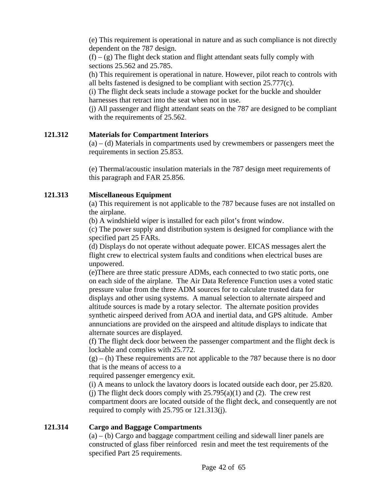(e) This requirement is operational in nature and as such compliance is not directly dependent on the 787 design.

 $(f) - (g)$  The flight deck station and flight attendant seats fully comply with sections 25.562 and 25.785.

(h) This requirement is operational in nature. However, pilot reach to controls with all belts fastened is designed to be compliant with section 25.777(c).

(i) The flight deck seats include a stowage pocket for the buckle and shoulder harnesses that retract into the seat when not in use.

(j) All passenger and flight attendant seats on the 787 are designed to be compliant with the requirements of 25.562.

#### **121.312 Materials for Compartment Interiors**

(a) – (d) Materials in compartments used by crewmembers or passengers meet the requirements in section 25.853.

(e) Thermal/acoustic insulation materials in the 787 design meet requirements of this paragraph and FAR 25.856.

#### **121.313 Miscellaneous Equipment**

(a) This requirement is not applicable to the 787 because fuses are not installed on the airplane.

(b) A windshield wiper is installed for each pilot's front window.

(c) The power supply and distribution system is designed for compliance with the specified part 25 FARs.

(d) Displays do not operate without adequate power. EICAS messages alert the flight crew to electrical system faults and conditions when electrical buses are unpowered.

(e)There are three static pressure ADMs, each connected to two static ports, one on each side of the airplane. The Air Data Reference Function uses a voted static pressure value from the three ADM sources for to calculate trusted data for displays and other using systems. A manual selection to alternate airspeed and altitude sources is made by a rotary selector. The alternate position provides synthetic airspeed derived from AOA and inertial data, and GPS altitude. Amber annunciations are provided on the airspeed and altitude displays to indicate that alternate sources are displayed.

(f) The flight deck door between the passenger compartment and the flight deck is lockable and complies with 25.772.

 $(g) - (h)$  These requirements are not applicable to the 787 because there is no door that is the means of access to a

required passenger emergency exit.

(i) A means to unlock the lavatory doors is located outside each door, per 25.820. (i) The flight deck doors comply with  $25.795(a)(1)$  and (2). The crew rest compartment doors are located outside of the flight deck, and consequently are not required to comply with 25.795 or 121.313(j).

#### **121.314 Cargo and Baggage Compartments**

 $(a) - (b)$  Cargo and baggage compartment ceiling and sidewall liner panels are constructed of glass fiber reinforced resin and meet the test requirements of the specified Part 25 requirements.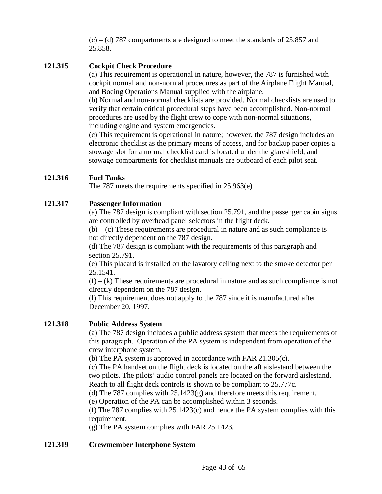$(c)$  – (d) 787 compartments are designed to meet the standards of 25.857 and 25.858.

#### **121.315 Cockpit Check Procedure**

(a) This requirement is operational in nature, however, the 787 is furnished with cockpit normal and non-normal procedures as part of the Airplane Flight Manual, and Boeing Operations Manual supplied with the airplane.

(b) Normal and non-normal checklists are provided. Normal checklists are used to verify that certain critical procedural steps have been accomplished. Non-normal procedures are used by the flight crew to cope with non-normal situations, including engine and system emergencies.

(c) This requirement is operational in nature; however, the 787 design includes an electronic checklist as the primary means of access, and for backup paper copies a stowage slot for a normal checklist card is located under the glareshield, and stowage compartments for checklist manuals are outboard of each pilot seat.

#### **121.316 Fuel Tanks**

The 787 meets the requirements specified in 25.963(e)*.* 

#### **121.317 Passenger Information**

(a) The 787 design is compliant with section 25.791, and the passenger cabin signs are controlled by overhead panel selectors in the flight deck.

 $(b) - (c)$  These requirements are procedural in nature and as such compliance is not directly dependent on the 787 design.

(d) The 787 design is compliant with the requirements of this paragraph and section 25.791.

(e) This placard is installed on the lavatory ceiling next to the smoke detector per 25.1541.

 $(f) - (k)$  These requirements are procedural in nature and as such compliance is not directly dependent on the 787 design.

(l) This requirement does not apply to the 787 since it is manufactured after December 20, 1997.

#### **121.318 Public Address System**

(a) The 787 design includes a public address system that meets the requirements of this paragraph. Operation of the PA system is independent from operation of the crew interphone system.

(b) The PA system is approved in accordance with FAR 21.305(c).

(c) The PA handset on the flight deck is located on the aft aislestand between the two pilots. The pilots' audio control panels are located on the forward aislestand. Reach to all flight deck controls is shown to be compliant to 25.777c.

(d) The 787 complies with 25.1423(g) and therefore meets this requirement.

(e) Operation of the PA can be accomplished within 3 seconds.

(f) The 787 complies with  $25.1423(c)$  and hence the PA system complies with this requirement.

(g) The PA system complies with FAR 25.1423.

#### **121.319 Crewmember Interphone System**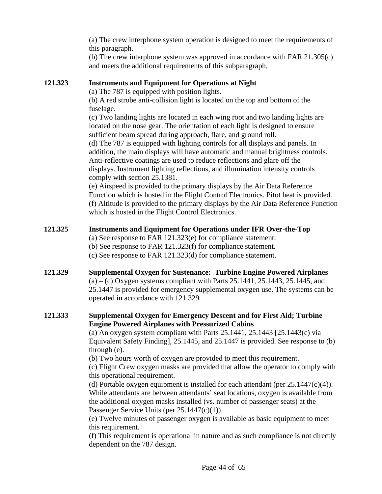(a) The crew interphone system operation is designed to meet the requirements of this paragraph.

(b) The crew interphone system was approved in accordance with FAR 21.305(c) and meets the additional requirements of this subparagraph.

#### **121.323 Instruments and Equipment for Operations at Night**

(a) The 787 is equipped with position lights.

(b) A red strobe anti-collision light is located on the top and bottom of the fuselage.

(c) Two landing lights are located in each wing root and two landing lights are located on the nose gear. The orientation of each light is designed to ensure sufficient beam spread during approach, flare, and ground roll.

(d) The 787 is equipped with lighting controls for all displays and panels. In addition, the main displays will have automatic and manual brightness controls. Anti-reflective coatings are used to reduce reflections and glare off the displays. Instrument lighting reflections, and illumination intensity controls comply with section 25.1381.

(e) Airspeed is provided to the primary displays by the Air Data Reference Function which is hosted in the Flight Control Electronics. Pitot heat is provided. (f) Altitude is provided to the primary displays by the Air Data Reference Function which is hosted in the Flight Control Electronics.

## **121.325 Instruments and Equipment for Operations under IFR Over-the-Top**

- (a) See response to FAR 121.323(e) for compliance statement.
- (b) See response to FAR 121.323(f) for compliance statement.
- (c) See response to FAR 121.323(d) for compliance statement.

#### **121.329 Supplemental Oxygen for Sustenance: Turbine Engine Powered Airplanes**   $(a) - (c)$  Oxygen systems compliant with Parts 25.1441, 25.1443, 25.1445, and 25.1447 is provided for emergency supplemental oxygen use. The systems can be operated in accordance with 121.329*.*

## **121.333 Supplemental Oxygen for Emergency Descent and for First Aid; Turbine Engine Powered Airplanes with Pressurized Cabins**

(a) An oxygen system compliant with Parts  $25.1441$ ,  $25.1443$  [ $25.1443$ (c) via Equivalent Safety Finding], 25.1445, and 25.1447 is provided. See response to (b) through (e).

(b) Two hours worth of oxygen are provided to meet this requirement.

(c) Flight Crew oxygen masks are provided that allow the operator to comply with this operational requirement.

(d) Portable oxygen equipment is installed for each attendant (per  $25.1447(c)(4)$ ). While attendants are between attendants' seat locations, oxygen is available from the additional oxygen masks installed (vs. number of passenger seats) at the Passenger Service Units (per 25.1447(c)(1)).

(e) Twelve minutes of passenger oxygen is available as basic equipment to meet this requirement.

(f) This requirement is operational in nature and as such compliance is not directly dependent on the 787 design.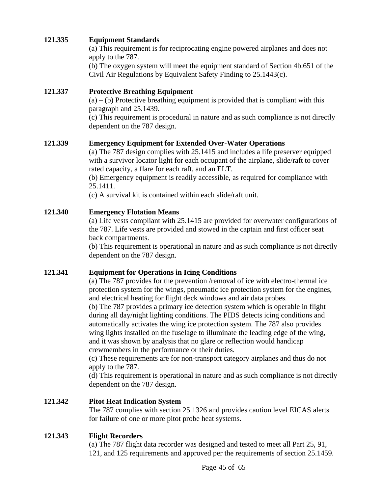#### **121.335 Equipment Standards**

(a) This requirement is for reciprocating engine powered airplanes and does not apply to the 787.

(b) The oxygen system will meet the equipment standard of Section 4b.651 of the Civil Air Regulations by Equivalent Safety Finding to 25.1443(c).

#### **121.337 Protective Breathing Equipment**

 $(a) - (b)$  Protective breathing equipment is provided that is compliant with this paragraph and 25.1439.

(c) This requirement is procedural in nature and as such compliance is not directly dependent on the 787 design.

#### **121.339 Emergency Equipment for Extended Over-Water Operations**

(a) The 787 design complies with 25.1415 and includes a life preserver equipped with a survivor locator light for each occupant of the airplane, slide/raft to cover rated capacity, a flare for each raft, and an ELT.

(b) Emergency equipment is readily accessible, as required for compliance with 25.1411.

(c) A survival kit is contained within each slide/raft unit.

#### **121.340 Emergency Flotation Means**

(a) Life vests compliant with 25.1415 are provided for overwater configurations of the 787. Life vests are provided and stowed in the captain and first officer seat back compartments.

(b) This requirement is operational in nature and as such compliance is not directly dependent on the 787 design.

#### **121.341 Equipment for Operations in Icing Conditions**

(a) The 787 provides for the prevention /removal of ice with electro-thermal ice protection system for the wings, pneumatic ice protection system for the engines, and electrical heating for flight deck windows and air data probes.

(b) The 787 provides a primary ice detection system which is operable in flight during all day/night lighting conditions. The PIDS detects icing conditions and automatically activates the wing ice protection system. The 787 also provides wing lights installed on the fuselage to illuminate the leading edge of the wing, and it was shown by analysis that no glare or reflection would handicap crewmembers in the performance or their duties.

(c) These requirements are for non-transport category airplanes and thus do not apply to the 787.

(d) This requirement is operational in nature and as such compliance is not directly dependent on the 787 design.

#### **121.342 Pitot Heat Indication System**

The 787 complies with section 25.1326 and provides caution level EICAS alerts for failure of one or more pitot probe heat systems.

#### **121.343 Flight Recorders**

(a) The 787 flight data recorder was designed and tested to meet all Part 25, 91, 121, and 125 requirements and approved per the requirements of section 25.1459.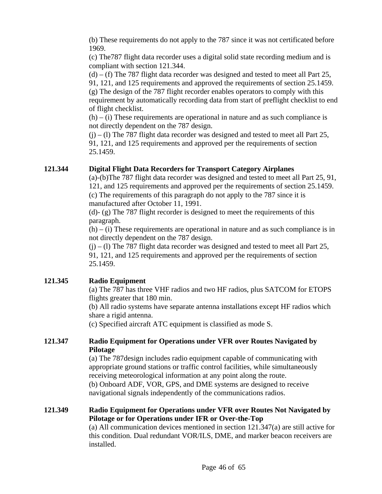(b) These requirements do not apply to the 787 since it was not certificated before 1969.

(c) The787 flight data recorder uses a digital solid state recording medium and is compliant with section 121.344.

 $(d)$  – (f) The 787 flight data recorder was designed and tested to meet all Part 25, 91, 121, and 125 requirements and approved the requirements of section 25.1459. (g) The design of the 787 flight recorder enables operators to comply with this requirement by automatically recording data from start of preflight checklist to end of flight checklist.

 $(h) - (i)$  These requirements are operational in nature and as such compliance is not directly dependent on the 787 design.

 $(i) - (1)$  The 787 flight data recorder was designed and tested to meet all Part 25, 91, 121, and 125 requirements and approved per the requirements of section 25.1459.

## **121.344 Digital Flight Data Recorders for Transport Category Airplanes**

(a)-(b)The 787 flight data recorder was designed and tested to meet all Part 25, 91, 121, and 125 requirements and approved per the requirements of section 25.1459. (c) The requirements of this paragraph do not apply to the 787 since it is manufactured after October 11, 1991.

(d)- (g) The 787 flight recorder is designed to meet the requirements of this paragraph.

 $(h) - (i)$  These requirements are operational in nature and as such compliance is in not directly dependent on the 787 design.

 $(i)$  – (1) The 787 flight data recorder was designed and tested to meet all Part 25, 91, 121, and 125 requirements and approved per the requirements of section 25.1459.

## **121.345 Radio Equipment**

(a) The 787 has three VHF radios and two HF radios, plus SATCOM for ETOPS flights greater that 180 min.

(b) All radio systems have separate antenna installations except HF radios which share a rigid antenna.

(c) Specified aircraft ATC equipment is classified as mode S.

#### **121.347 Radio Equipment for Operations under VFR over Routes Navigated by Pilotage**

(a) The 787design includes radio equipment capable of communicating with appropriate ground stations or traffic control facilities, while simultaneously receiving meteorological information at any point along the route. (b) Onboard ADF, VOR, GPS, and DME systems are designed to receive navigational signals independently of the communications radios.

#### **121.349 Radio Equipment for Operations under VFR over Routes Not Navigated by Pilotage or for Operations under IFR or Over-the-Top**

(a) All communication devices mentioned in section 121.347(a) are still active for this condition. Dual redundant VOR/ILS, DME, and marker beacon receivers are installed.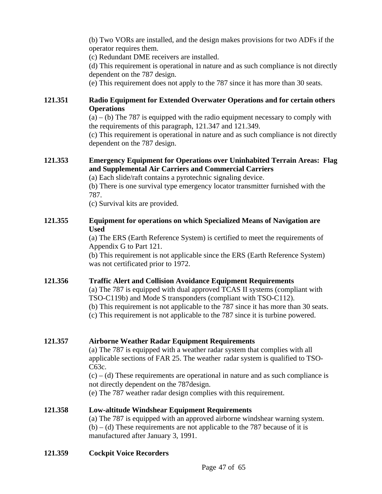(b) Two VORs are installed, and the design makes provisions for two ADFs if the operator requires them.

(c) Redundant DME receivers are installed.

(d) This requirement is operational in nature and as such compliance is not directly dependent on the 787 design.

(e) This requirement does not apply to the 787 since it has more than 30 seats.

#### **121.351 Radio Equipment for Extended Overwater Operations and for certain others Operations**

 $(a) - (b)$  The 787 is equipped with the radio equipment necessary to comply with the requirements of this paragraph, 121.347 and 121.349.

(c) This requirement is operational in nature and as such compliance is not directly dependent on the 787 design.

#### **121.353 Emergency Equipment for Operations over Uninhabited Terrain Areas: Flag and Supplemental Air Carriers and Commercial Carriers**

(a) Each slide/raft contains a pyrotechnic signaling device.

(b) There is one survival type emergency locator transmitter furnished with the 787.

(c) Survival kits are provided.

#### **121.355 Equipment for operations on which Specialized Means of Navigation are Used**

(a) The ERS (Earth Reference System) is certified to meet the requirements of Appendix G to Part 121.

(b) This requirement is not applicable since the ERS (Earth Reference System) was not certificated prior to 1972.

## **121.356 Traffic Alert and Collision Avoidance Equipment Requirements**

(a) The 787 is equipped with dual approved TCAS II systems (compliant with TSO-C119b) and Mode S transponders (compliant with TSO-C112).

(b) This requirement is not applicable to the 787 since it has more than 30 seats.

(c) This requirement is not applicable to the 787 since it is turbine powered.

## **121.357 Airborne Weather Radar Equipment Requirements**

(a) The 787 is equipped with a weather radar system that complies with all applicable sections of FAR 25. The weather radar system is qualified to TSO-C63c.

 $(c) - (d)$  These requirements are operational in nature and as such compliance is not directly dependent on the 787design.

(e) The 787 weather radar design complies with this requirement.

#### **121.358 Low-altitude Windshear Equipment Requirements** (a) The 787 is equipped with an approved airborne windshear warning system.  $(b) - (d)$  These requirements are not applicable to the 787 because of it is manufactured after January 3, 1991.

**121.359 Cockpit Voice Recorders**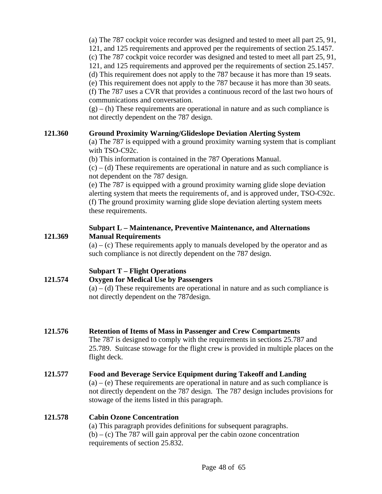(a) The 787 cockpit voice recorder was designed and tested to meet all part 25, 91, 121, and 125 requirements and approved per the requirements of section 25.1457. (c) The 787 cockpit voice recorder was designed and tested to meet all part 25, 91, 121, and 125 requirements and approved per the requirements of section 25.1457. (d) This requirement does not apply to the 787 because it has more than 19 seats. (e) This requirement does not apply to the 787 because it has more than 30 seats. (f) The 787 uses a CVR that provides a continuous record of the last two hours of communications and conversation.

 $(g) - (h)$  These requirements are operational in nature and as such compliance is not directly dependent on the 787 design.

#### **121.360 Ground Proximity Warning/Glideslope Deviation Alerting System**

(a) The 787 is equipped with a ground proximity warning system that is compliant with TSO-C92c.

(b) This information is contained in the 787 Operations Manual.

 $(c) - (d)$  These requirements are operational in nature and as such compliance is not dependent on the 787 design.

(e) The 787 is equipped with a ground proximity warning glide slope deviation alerting system that meets the requirements of, and is approved under, TSO-C92c. (f) The ground proximity warning glide slope deviation alerting system meets these requirements.

#### **Subpart L – Maintenance, Preventive Maintenance, and Alternations 121.369 Manual Requirements**

 $(a) - (c)$  These requirements apply to manuals developed by the operator and as such compliance is not directly dependent on the 787 design.

# **Subpart T – Flight Operations**

# **121.574 Oxygen for Medical Use by Passengers**

 $(a) - (d)$  These requirements are operational in nature and as such compliance is not directly dependent on the 787design.

#### **121.576 Retention of Items of Mass in Passenger and Crew Compartments**

The 787 is designed to comply with the requirements in sections 25.787 and 25.789. Suitcase stowage for the flight crew is provided in multiple places on the flight deck.

**121.577 Food and Beverage Service Equipment during Takeoff and Landing**   $(a) - (e)$  These requirements are operational in nature and as such compliance is not directly dependent on the 787 design. The 787 design includes provisions for stowage of the items listed in this paragraph.

## **121.578 Cabin Ozone Concentration**

(a) This paragraph provides definitions for subsequent paragraphs.  $(b) - (c)$  The 787 will gain approval per the cabin ozone concentration requirements of section 25.832.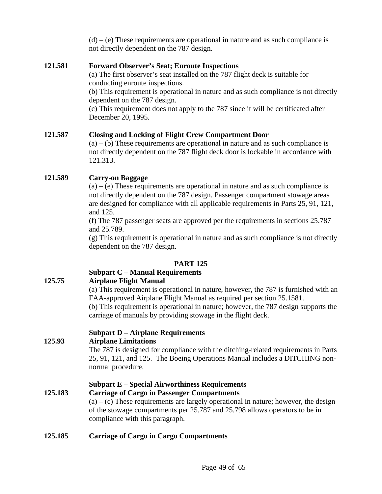$(d) - (e)$  These requirements are operational in nature and as such compliance is not directly dependent on the 787 design.

#### **121.581 Forward Observer's Seat; Enroute Inspections**

(a) The first observer's seat installed on the 787 flight deck is suitable for conducting enroute inspections.

(b) This requirement is operational in nature and as such compliance is not directly dependent on the 787 design.

(c) This requirement does not apply to the 787 since it will be certificated after December 20, 1995.

#### **121.587 Closing and Locking of Flight Crew Compartment Door**

 $(a) - (b)$  These requirements are operational in nature and as such compliance is not directly dependent on the 787 flight deck door is lockable in accordance with 121.313.

#### **121.589 Carry-on Baggage**

 $(a) - (e)$  These requirements are operational in nature and as such compliance is not directly dependent on the 787 design. Passenger compartment stowage areas are designed for compliance with all applicable requirements in Parts 25, 91, 121, and 125.

(f) The 787 passenger seats are approved per the requirements in sections 25.787 and 25.789.

(g) This requirement is operational in nature and as such compliance is not directly dependent on the 787 design.

#### **PART 125**

#### **Subpart C – Manual Requirements**

#### **125.75 Airplane Flight Manual**

(a) This requirement is operational in nature, however, the 787 is furnished with an FAA-approved Airplane Flight Manual as required per section 25.1581.

(b) This requirement is operational in nature; however, the 787 design supports the carriage of manuals by providing stowage in the flight deck.

#### **Subpart D – Airplane Requirements**

#### **125.93 Airplane Limitations**

The 787 is designed for compliance with the ditching-related requirements in Parts 25, 91, 121, and 125. The Boeing Operations Manual includes a DITCHING nonnormal procedure.

#### **Subpart E – Special Airworthiness Requirements**

#### **125.183 Carriage of Cargo in Passenger Compartments**

 $(a) - (c)$  These requirements are largely operational in nature; however, the design of the stowage compartments per 25.787 and 25.798 allows operators to be in compliance with this paragraph.

#### **125.185 Carriage of Cargo in Cargo Compartments**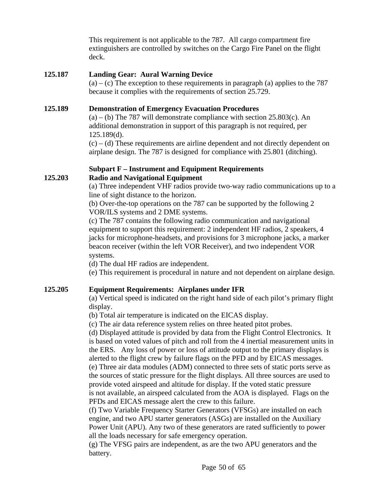This requirement is not applicable to the 787. All cargo compartment fire extinguishers are controlled by switches on the Cargo Fire Panel on the flight deck.

#### **125.187 Landing Gear: Aural Warning Device**

 $(a) - (c)$  The exception to these requirements in paragraph  $(a)$  applies to the 787 because it complies with the requirements of section 25.729.

#### **125.189 Demonstration of Emergency Evacuation Procedures**

 $(a) - (b)$  The 787 will demonstrate compliance with section 25.803 $(c)$ . An additional demonstration in support of this paragraph is not required, per 125.189(d).

 $(c)$  – (d) These requirements are airline dependent and not directly dependent on airplane design. The 787 is designed for compliance with 25.801 (ditching).

#### **Subpart F – Instrument and Equipment Requirements 125.203 Radio and Navigational Equipment**

(a) Three independent VHF radios provide two-way radio communications up to a line of sight distance to the horizon.

(b) Over-the-top operations on the 787 can be supported by the following 2 VOR/ILS systems and 2 DME systems.

(c) The 787 contains the following radio communication and navigational equipment to support this requirement: 2 independent HF radios, 2 speakers, 4 jacks for microphone-headsets, and provisions for 3 microphone jacks, a marker beacon receiver (within the left VOR Receiver), and two independent VOR systems.

(d) The dual HF radios are independent.

(e) This requirement is procedural in nature and not dependent on airplane design.

## **125.205 Equipment Requirements: Airplanes under IFR**

(a) Vertical speed is indicated on the right hand side of each pilot's primary flight display.

(b) Total air temperature is indicated on the EICAS display.

(c) The air data reference system relies on three heated pitot probes.

(d) Displayed attitude is provided by data from the Flight Control Electronics. It is based on voted values of pitch and roll from the 4 inertial measurement units in the ERS. Any loss of power or loss of attitude output to the primary displays is alerted to the flight crew by failure flags on the PFD and by EICAS messages.

(e) Three air data modules (ADM) connected to three sets of static ports serve as the sources of static pressure for the flight displays. All three sources are used to provide voted airspeed and altitude for display. If the voted static pressure is not available, an airspeed calculated from the AOA is displayed. Flags on the PFDs and EICAS message alert the crew to this failure.

(f) Two Variable Frequency Starter Generators (VFSGs) are installed on each engine, and two APU starter generators (ASGs) are installed on the Auxiliary Power Unit (APU). Any two of these generators are rated sufficiently to power all the loads necessary for safe emergency operation.

(g) The VFSG pairs are independent, as are the two APU generators and the battery.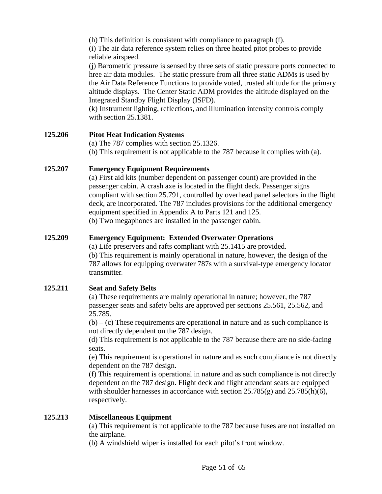(h) This definition is consistent with compliance to paragraph (f).

(i) The air data reference system relies on three heated pitot probes to provide reliable airspeed.

(j) Barometric pressure is sensed by three sets of static pressure ports connected to hree air data modules. The static pressure from all three static ADMs is used by the Air Data Reference Functions to provide voted, trusted altitude for the primary altitude displays. The Center Static ADM provides the altitude displayed on the Integrated Standby Flight Display (ISFD).

(k) Instrument lighting, reflections, and illumination intensity controls comply with section 25.1381.

#### **125.206 Pitot Heat Indication Systems**

(a) The 787 complies with section 25.1326.

(b) This requirement is not applicable to the 787 because it complies with (a).

#### **125.207 Emergency Equipment Requirements**

(a) First aid kits (number dependent on passenger count) are provided in the passenger cabin. A crash axe is located in the flight deck. Passenger signs compliant with section 25.791, controlled by overhead panel selectors in the flight deck, are incorporated. The 787 includes provisions for the additional emergency equipment specified in Appendix A to Parts 121 and 125.

(b) Two megaphones are installed in the passenger cabin.

#### **125.209 Emergency Equipment: Extended Overwater Operations**

(a) Life preservers and rafts compliant with 25.1415 are provided. (b) This requirement is mainly operational in nature, however, the design of the 787 allows for equipping overwater 787s with a survival-type emergency locator transmitter*.* 

## **125.211 Seat and Safety Belts**

(a) These requirements are mainly operational in nature; however, the 787 passenger seats and safety belts are approved per sections 25.561, 25.562, and 25.785.

 $(b) - (c)$  These requirements are operational in nature and as such compliance is not directly dependent on the 787 design.

(d) This requirement is not applicable to the 787 because there are no side-facing seats.

(e) This requirement is operational in nature and as such compliance is not directly dependent on the 787 design.

(f) This requirement is operational in nature and as such compliance is not directly dependent on the 787 design. Flight deck and flight attendant seats are equipped with shoulder harnesses in accordance with section  $25.785(g)$  and  $25.785(h)(6)$ , respectively.

#### **125.213 Miscellaneous Equipment**

(a) This requirement is not applicable to the 787 because fuses are not installed on the airplane.

(b) A windshield wiper is installed for each pilot's front window.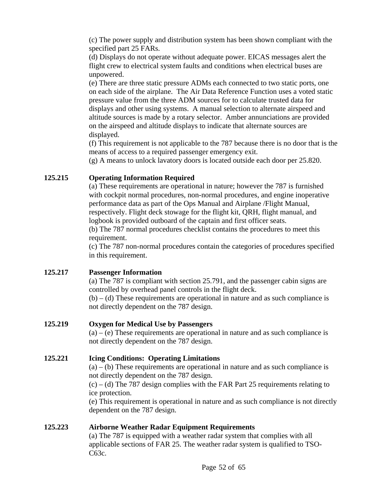(c) The power supply and distribution system has been shown compliant with the specified part 25 FARs.

(d) Displays do not operate without adequate power. EICAS messages alert the flight crew to electrical system faults and conditions when electrical buses are unpowered.

(e) There are three static pressure ADMs each connected to two static ports, one on each side of the airplane. The Air Data Reference Function uses a voted static pressure value from the three ADM sources for to calculate trusted data for displays and other using systems. A manual selection to alternate airspeed and altitude sources is made by a rotary selector. Amber annunciations are provided on the airspeed and altitude displays to indicate that alternate sources are displayed.

(f) This requirement is not applicable to the 787 because there is no door that is the means of access to a required passenger emergency exit.

(g) A means to unlock lavatory doors is located outside each door per 25.820.

## **125.215 Operating Information Required**

(a) These requirements are operational in nature; however the 787 is furnished with cockpit normal procedures, non-normal procedures, and engine inoperative performance data as part of the Ops Manual and Airplane /Flight Manual, respectively. Flight deck stowage for the flight kit, QRH, flight manual, and logbook is provided outboard of the captain and first officer seats.

(b) The 787 normal procedures checklist contains the procedures to meet this requirement.

(c) The 787 non-normal procedures contain the categories of procedures specified in this requirement.

## **125.217 Passenger Information**

(a) The 787 is compliant with section 25.791, and the passenger cabin signs are controlled by overhead panel controls in the flight deck.

 $(b) - (d)$  These requirements are operational in nature and as such compliance is not directly dependent on the 787 design.

## **125.219 Oxygen for Medical Use by Passengers**

 $(a) - (e)$  These requirements are operational in nature and as such compliance is not directly dependent on the 787 design.

## **125.221 Icing Conditions: Operating Limitations**

 $(a) - (b)$  These requirements are operational in nature and as such compliance is not directly dependent on the 787 design.

 $(c)$  – (d) The 787 design complies with the FAR Part 25 requirements relating to ice protection.

(e) This requirement is operational in nature and as such compliance is not directly dependent on the 787 design.

## **125.223 Airborne Weather Radar Equipment Requirements**

(a) The 787 is equipped with a weather radar system that complies with all applicable sections of FAR 25. The weather radar system is qualified to TSO-C63c.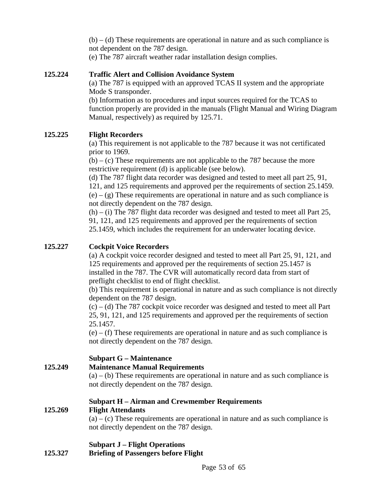$(b) - (d)$  These requirements are operational in nature and as such compliance is not dependent on the 787 design.

(e) The 787 aircraft weather radar installation design complies.

#### **125.224 Traffic Alert and Collision Avoidance System**

(a) The 787 is equipped with an approved TCAS II system and the appropriate Mode S transponder.

(b) Information as to procedures and input sources required for the TCAS to function properly are provided in the manuals (Flight Manual and Wiring Diagram Manual, respectively) as required by 125.71.

#### **125.225 Flight Recorders**

(a) This requirement is not applicable to the 787 because it was not certificated prior to 1969.

 $(b) - (c)$  These requirements are not applicable to the 787 because the more restrictive requirement (d) is applicable (see below).

(d) The 787 flight data recorder was designed and tested to meet all part 25, 91, 121, and 125 requirements and approved per the requirements of section 25.1459.  $(e) - (g)$  These requirements are operational in nature and as such compliance is not directly dependent on the 787 design.

 $(h) - (i)$  The 787 flight data recorder was designed and tested to meet all Part 25, 91, 121, and 125 requirements and approved per the requirements of section 25.1459, which includes the requirement for an underwater locating device.

#### **125.227 Cockpit Voice Recorders**

(a) A cockpit voice recorder designed and tested to meet all Part 25, 91, 121, and 125 requirements and approved per the requirements of section 25.1457 is installed in the 787. The CVR will automatically record data from start of preflight checklist to end of flight checklist.

(b) This requirement is operational in nature and as such compliance is not directly dependent on the 787 design.

 $(c)$  – (d) The 787 cockpit voice recorder was designed and tested to meet all Part 25, 91, 121, and 125 requirements and approved per the requirements of section 25.1457.

(e) – (f) These requirements are operational in nature and as such compliance is not directly dependent on the 787 design.

## **Subpart G – Maintenance**

**125.249 Maintenance Manual Requirements** 

 $(a) - (b)$  These requirements are operational in nature and as such compliance is not directly dependent on the 787 design.

#### **Subpart H – Airman and Crewmember Requirements**

#### **125.269 Flight Attendants**

 $(a) - (c)$  These requirements are operational in nature and as such compliance is not directly dependent on the 787 design.

#### **Subpart J – Flight Operations**

**125.327 Briefing of Passengers before Flight**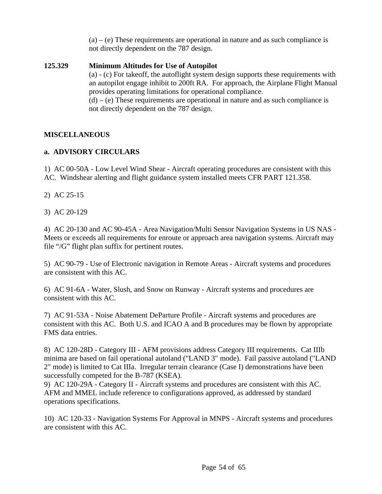$(a) - (e)$  These requirements are operational in nature and as such compliance is not directly dependent on the 787 design.

#### **125.329 Minimum Altitudes for Use of Autopilot**

(a) - (c) For takeoff, the autoflight system design supports these requirements with an autopilot engage inhibit to 200ft RA. For approach, the Airplane Flight Manual provides operating limitations for operational compliance.  $(d) - (e)$  These requirements are operational in nature and as such compliance is

not directly dependent on the 787 design.

#### **MISCELLANEOUS**

#### **a. ADVISORY CIRCULARS**

1) AC 00-50A - Low Level Wind Shear - Aircraft operating procedures are consistent with this AC. Windshear alerting and flight guidance system installed meets CFR PART 121.358.

- 2) AC 25-15
- 3) AC 20-129

4) AC 20-130 and AC 90-45A - Area Navigation/Multi Sensor Navigation Systems in US NAS - Meets or exceeds all requirements for enroute or approach area navigation systems. Aircraft may file "/G" flight plan suffix for pertinent routes.

5) AC 90-79 - Use of Electronic navigation in Remote Areas - Aircraft systems and procedures are consistent with this AC.

6) AC 91-6A - Water, Slush, and Snow on Runway - Aircraft systems and procedures are consistent with this AC.

7) AC 91-53A - Noise Abatement DeParture Profile - Aircraft systems and procedures are consistent with this AC. Both U.S. and ICAO A and B procedures may be flown by appropriate FMS data entries.

8) AC 120-28D - Category III - AFM provisions address Category III requirements. Cat IIIb minima are based on fail operational autoland ("LAND 3" mode). Fail passive autoland ("LAND 2" mode) is limited to Cat IIIa. Irregular terrain clearance (Case I) demonstrations have been successfully competed for the B-787 (KSEA).

9) AC 120-29A - Category II - Aircraft systems and procedures are consistent with this AC. AFM and MMEL include reference to configurations approved, as addressed by standard operations specifications.

10) AC 120-33 - Navigation Systems For Approval in MNPS - Aircraft systems and procedures are consistent with this AC.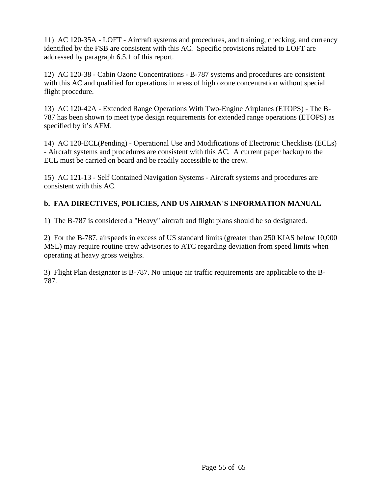11) AC 120-35A - LOFT - Aircraft systems and procedures, and training, checking, and currency identified by the FSB are consistent with this AC. Specific provisions related to LOFT are addressed by paragraph 6.5.1 of this report.

12) AC 120-38 - Cabin Ozone Concentrations - B-787 systems and procedures are consistent with this AC and qualified for operations in areas of high ozone concentration without special flight procedure.

13) AC 120-42A - Extended Range Operations With Two-Engine Airplanes (ETOPS) - The B-787 has been shown to meet type design requirements for extended range operations (ETOPS) as specified by it's AFM.

14) AC 120-ECL(Pending) - Operational Use and Modifications of Electronic Checklists (ECLs) - Aircraft systems and procedures are consistent with this AC. A current paper backup to the ECL must be carried on board and be readily accessible to the crew.

15) AC 121-13 - Self Contained Navigation Systems - Aircraft systems and procedures are consistent with this AC.

# **b. FAA DIRECTIVES, POLICIES, AND US AIRMAN'S INFORMATION MANUAL**

1) The B-787 is considered a "Heavy" aircraft and flight plans should be so designated.

2) For the B-787, airspeeds in excess of US standard limits (greater than 250 KIAS below 10,000 MSL) may require routine crew advisories to ATC regarding deviation from speed limits when operating at heavy gross weights.

3) Flight Plan designator is B-787. No unique air traffic requirements are applicable to the B-787.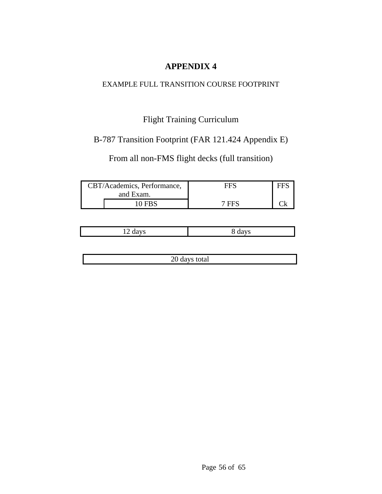# EXAMPLE FULL TRANSITION COURSE FOOTPRINT

# Flight Training Curriculum

# B-787 Transition Footprint (FAR 121.424 Appendix E)

From all non-FMS flight decks (full transition)

| CBT/Academics, Performance,<br>and Exam. |               | ⊶H"   |  |
|------------------------------------------|---------------|-------|--|
|                                          | <b>10 FBS</b> | 7 FFS |  |

| ---<br>$12 \mu$ | $\mathbf{v}$ |
|-----------------|--------------|

20 days total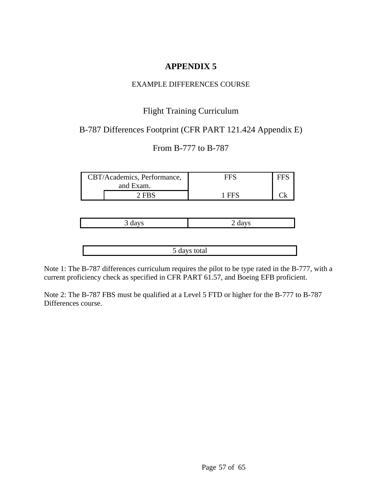#### EXAMPLE DIFFERENCES COURSE

# Flight Training Curriculum

# B-787 Differences Footprint (CFR PART 121.424 Appendix E)

# From B-777 to B-787

| CBT/Academics, Performance, |         | FFS   |  |
|-----------------------------|---------|-------|--|
| and Exam.                   |         |       |  |
|                             | $2$ FRS | 1 FFS |  |

5 days total

Note 1: The B-787 differences curriculum requires the pilot to be type rated in the B-777, with a current proficiency check as specified in CFR PART 61.57, and Boeing EFB proficient.

Note 2: The B-787 FBS must be qualified at a Level 5 FTD or higher for the B-777 to B-787 Differences course.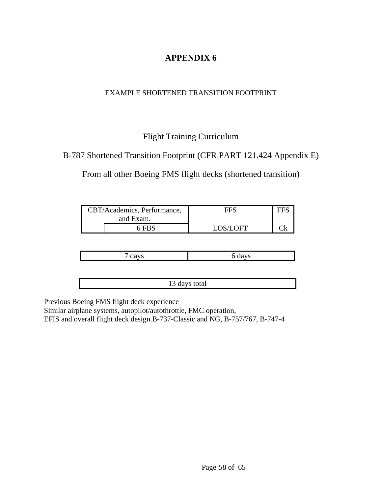# EXAMPLE SHORTENED TRANSITION FOOTPRINT

# Flight Training Curriculum

# B-787 Shortened Transition Footprint (CFR PART 121.424 Appendix E)

From all other Boeing FMS flight decks (shortened transition)

| CBT/Academics, Performance, |       | HHN.     |  |
|-----------------------------|-------|----------|--|
| and Exam.                   |       |          |  |
|                             | 6 FBS | LOS/LOFT |  |

13 days total

Previous Boeing FMS flight deck experience

Similar airplane systems, autopilot/autothrottle, FMC operation, EFIS and overall flight deck design.B-737-Classic and NG, B-757/767, B-747-4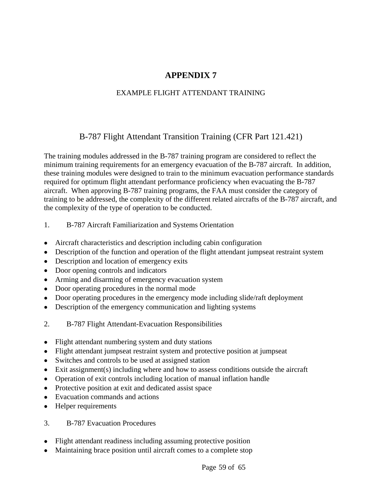# EXAMPLE FLIGHT ATTENDANT TRAINING

# B-787 Flight Attendant Transition Training (CFR Part 121.421)

The training modules addressed in the B-787 training program are considered to reflect the minimum training requirements for an emergency evacuation of the B-787 aircraft. In addition, these training modules were designed to train to the minimum evacuation performance standards required for optimum flight attendant performance proficiency when evacuating the B-787 aircraft. When approving B-787 training programs, the FAA must consider the category of training to be addressed, the complexity of the different related aircrafts of the B-787 aircraft, and the complexity of the type of operation to be conducted.

- 1. B-787 Aircraft Familiarization and Systems Orientation
- Aircraft characteristics and description including cabin configuration
- Description of the function and operation of the flight attendant jumpseat restraint system
- Description and location of emergency exits
- Door opening controls and indicators
- Arming and disarming of emergency evacuation system
- Door operating procedures in the normal mode
- Door operating procedures in the emergency mode including slide/raft deployment
- Description of the emergency communication and lighting systems
- 2. B-787 Flight Attendant-Evacuation Responsibilities
- Flight attendant numbering system and duty stations
- Flight attendant jumpseat restraint system and protective position at jumpseat
- Switches and controls to be used at assigned station
- Exit assignment(s) including where and how to assess conditions outside the aircraft
- Operation of exit controls including location of manual inflation handle
- Protective position at exit and dedicated assist space
- Evacuation commands and actions
- Helper requirements
- 3. B-787 Evacuation Procedures
- Flight attendant readiness including assuming protective position
- Maintaining brace position until aircraft comes to a complete stop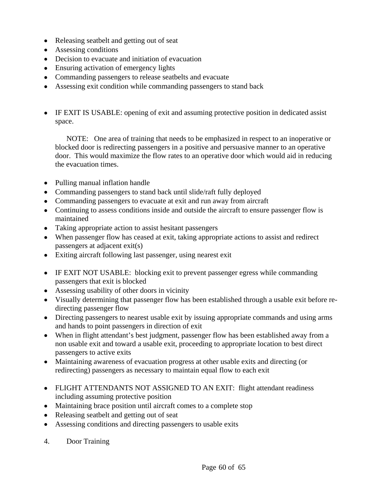- Releasing seatbelt and getting out of seat
- Assessing conditions
- Decision to evacuate and initiation of evacuation
- Ensuring activation of emergency lights
- Commanding passengers to release seatbelts and evacuate
- Assessing exit condition while commanding passengers to stand back
- IF EXIT IS USABLE: opening of exit and assuming protective position in dedicated assist space.

 NOTE: One area of training that needs to be emphasized in respect to an inoperative or blocked door is redirecting passengers in a positive and persuasive manner to an operative door. This would maximize the flow rates to an operative door which would aid in reducing the evacuation times.

- Pulling manual inflation handle
- Commanding passengers to stand back until slide/raft fully deployed
- Commanding passengers to evacuate at exit and run away from aircraft
- Continuing to assess conditions inside and outside the aircraft to ensure passenger flow is maintained
- Taking appropriate action to assist hesitant passengers
- When passenger flow has ceased at exit, taking appropriate actions to assist and redirect passengers at adjacent exit(s)
- Exiting aircraft following last passenger, using nearest exit
- IF EXIT NOT USABLE: blocking exit to prevent passenger egress while commanding passengers that exit is blocked
- Assessing usability of other doors in vicinity
- Visually determining that passenger flow has been established through a usable exit before redirecting passenger flow
- Directing passengers to nearest usable exit by issuing appropriate commands and using arms and hands to point passengers in direction of exit
- When in flight attendant's best judgment, passenger flow has been established away from a non usable exit and toward a usable exit, proceeding to appropriate location to best direct passengers to active exits
- Maintaining awareness of evacuation progress at other usable exits and directing (or redirecting) passengers as necessary to maintain equal flow to each exit
- FLIGHT ATTENDANTS NOT ASSIGNED TO AN EXIT: flight attendant readiness including assuming protective position
- Maintaining brace position until aircraft comes to a complete stop
- Releasing seatbelt and getting out of seat
- Assessing conditions and directing passengers to usable exits
- 4. Door Training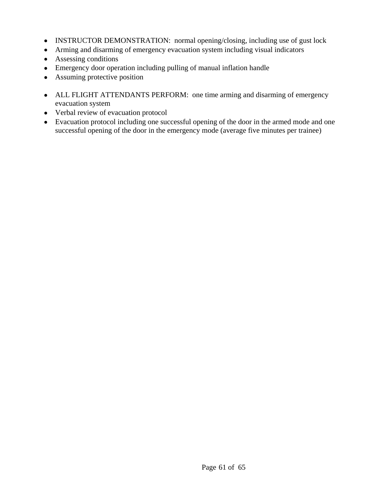- INSTRUCTOR DEMONSTRATION: normal opening/closing, including use of gust lock
- Arming and disarming of emergency evacuation system including visual indicators
- Assessing conditions
- Emergency door operation including pulling of manual inflation handle
- Assuming protective position
- ALL FLIGHT ATTENDANTS PERFORM: one time arming and disarming of emergency evacuation system
- Verbal review of evacuation protocol
- Evacuation protocol including one successful opening of the door in the armed mode and one successful opening of the door in the emergency mode (average five minutes per trainee)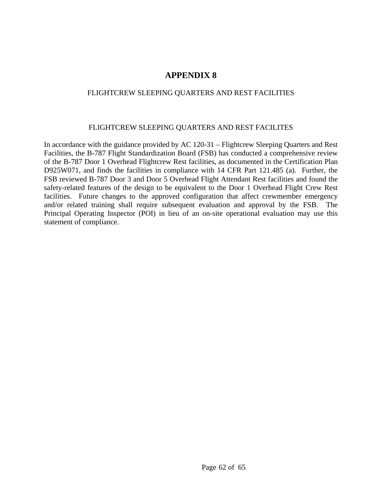#### FLIGHTCREW SLEEPING QUARTERS AND REST FACILITIES

#### FLIGHTCREW SLEEPING QUARTERS AND REST FACILITES

In accordance with the guidance provided by AC 120-31 – Flightcrew Sleeping Quarters and Rest Facilities, the B-787 Flight Standardization Board (FSB) has conducted a comprehensive review of the B-787 Door 1 Overhead Flightcrew Rest facilities, as documented in the Certification Plan D925W071, and finds the facilities in compliance with 14 CFR Part 121.485 (a). Further, the FSB reviewed B-787 Door 3 and Door 5 Overhead Flight Attendant Rest facilities and found the safety-related features of the design to be equivalent to the Door 1 Overhead Flight Crew Rest facilities. Future changes to the approved configuration that affect crewmember emergency and/or related training shall require subsequent evaluation and approval by the FSB. The Principal Operating Inspector (POI) in lieu of an on-site operational evaluation may use this statement of compliance.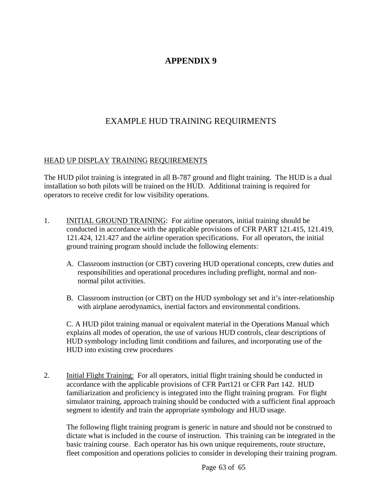# EXAMPLE HUD TRAINING REQUIRMENTS

#### HEAD UP DISPLAY TRAINING REQUIREMENTS

The HUD pilot training is integrated in all B-787 ground and flight training. The HUD is a dual installation so both pilots will be trained on the HUD. Additional training is required for operators to receive credit for low visibility operations.

- 1. INITIAL GROUND TRAINING: For airline operators, initial training should be conducted in accordance with the applicable provisions of CFR PART 121.415, 121.419, 121.424, 121.427 and the airline operation specifications. For all operators, the initial ground training program should include the following elements:
	- A. Classroom instruction (or CBT) covering HUD operational concepts, crew duties and responsibilities and operational procedures including preflight, normal and nonnormal pilot activities.
	- B. Classroom instruction (or CBT) on the HUD symbology set and it's inter-relationship with airplane aerodynamics, inertial factors and environmental conditions.

C. A HUD pilot training manual or equivalent material in the Operations Manual which explains all modes of operation, the use of various HUD controls, clear descriptions of HUD symbology including limit conditions and failures, and incorporating use of the HUD into existing crew procedures

2. Initial Flight Training: For all operators, initial flight training should be conducted in accordance with the applicable provisions of CFR Part121 or CFR Part 142. HUD familiarization and proficiency is integrated into the flight training program. For flight simulator training, approach training should be conducted with a sufficient final approach segment to identify and train the appropriate symbology and HUD usage.

 The following flight training program is generic in nature and should not be construed to dictate what is included in the course of instruction. This training can be integrated in the basic training course. Each operator has his own unique requirements, route structure, fleet composition and operations policies to consider in developing their training program.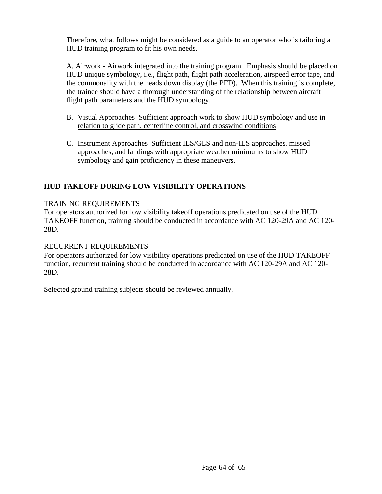Therefore, what follows might be considered as a guide to an operator who is tailoring a HUD training program to fit his own needs.

A. Airwork - Airwork integrated into the training program. Emphasis should be placed on HUD unique symbology, i.e., flight path, flight path acceleration, airspeed error tape, and the commonality with the heads down display (the PFD). When this training is complete, the trainee should have a thorough understanding of the relationship between aircraft flight path parameters and the HUD symbology.

- B. Visual Approaches Sufficient approach work to show HUD symbology and use in relation to glide path, centerline control, and crosswind conditions
- C. Instrument Approaches Sufficient ILS/GLS and non-ILS approaches, missed approaches, and landings with appropriate weather minimums to show HUD symbology and gain proficiency in these maneuvers.

## **HUD TAKEOFF DURING LOW VISIBILITY OPERATIONS**

#### TRAINING REQUIREMENTS

For operators authorized for low visibility takeoff operations predicated on use of the HUD TAKEOFF function, training should be conducted in accordance with AC 120-29A and AC 120- 28D.

#### RECURRENT REQUIREMENTS

For operators authorized for low visibility operations predicated on use of the HUD TAKEOFF function, recurrent training should be conducted in accordance with AC 120-29A and AC 120- 28D.

Selected ground training subjects should be reviewed annually.